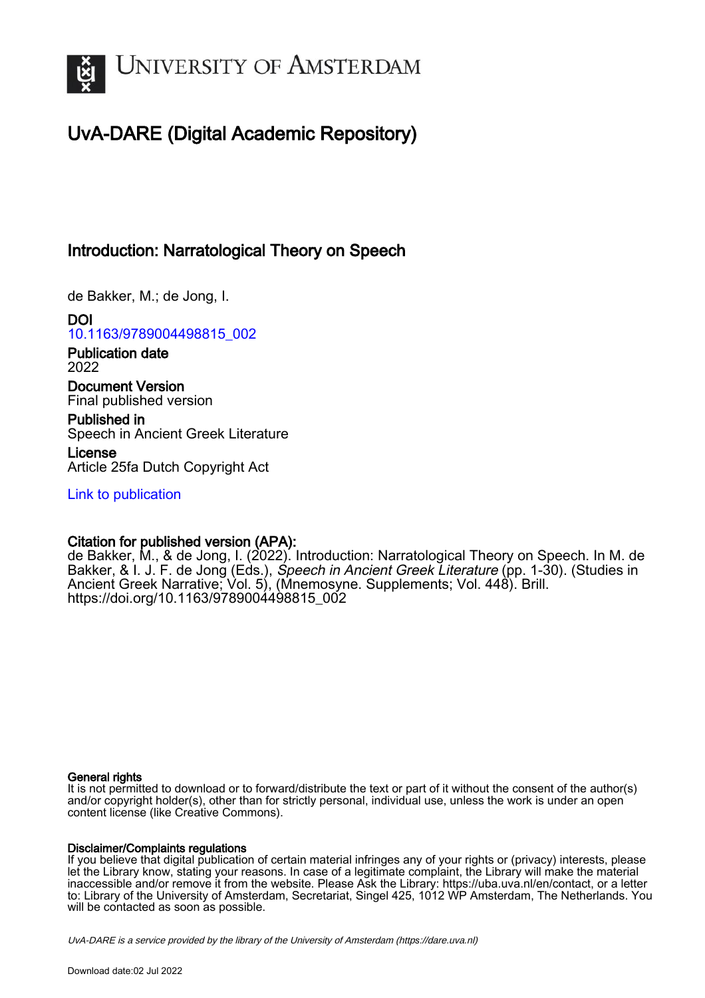

# UvA-DARE (Digital Academic Repository)

## Introduction: Narratological Theory on Speech

de Bakker, M.; de Jong, I.

DOI [10.1163/9789004498815\\_002](https://doi.org/10.1163/9789004498815_002)

Publication date 2022

Document Version Final published version

Published in Speech in Ancient Greek Literature

License Article 25fa Dutch Copyright Act

[Link to publication](https://dare.uva.nl/personal/pure/en/publications/introduction-narratological-theory-on-speech(fe761410-aec2-43b2-992c-141d14a7e66d).html)

## Citation for published version (APA):

de Bakker, M., & de Jong, I. (2022). Introduction: Narratological Theory on Speech. In M. de Bakker, & I. J. F. de Jong (Eds.), *Speech in Ancient Greek Literature* (pp. 1-30). (Studies in Ancient Greek Narrative; Vol. 5), (Mnemosyne. Supplements; Vol. 448). Brill. [https://doi.org/10.1163/9789004498815\\_002](https://doi.org/10.1163/9789004498815_002)

### General rights

It is not permitted to download or to forward/distribute the text or part of it without the consent of the author(s) and/or copyright holder(s), other than for strictly personal, individual use, unless the work is under an open content license (like Creative Commons).

### Disclaimer/Complaints regulations

If you believe that digital publication of certain material infringes any of your rights or (privacy) interests, please let the Library know, stating your reasons. In case of a legitimate complaint, the Library will make the material inaccessible and/or remove it from the website. Please Ask the Library: https://uba.uva.nl/en/contact, or a letter to: Library of the University of Amsterdam, Secretariat, Singel 425, 1012 WP Amsterdam, The Netherlands. You will be contacted as soon as possible.

UvA-DARE is a service provided by the library of the University of Amsterdam (http*s*://dare.uva.nl)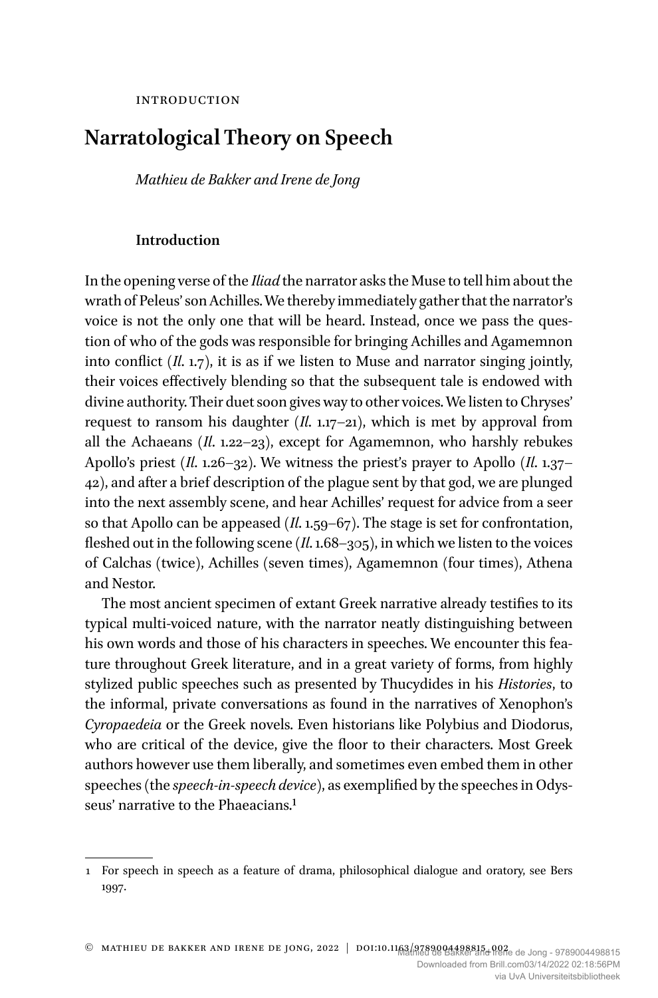## **Narratological Theory on Speech**

*Mathieu de Bakker and Irene de Jong*

#### **Introduction**

In the opening verse of the *Iliad* the narrator asks the Muse to tell him about the wrath of Peleus' son Achilles.We thereby immediately gather that the narrator's voice is not the only one that will be heard. Instead, once we pass the question of who of the gods was responsible for bringing Achilles and Agamemnon into conflict (*Il*. 1.7), it is as if we listen to Muse and narrator singing jointly, their voices effectively blending so that the subsequent tale is endowed with divine authority. Their duet soon gives way to other voices.We listen to Chryses' request to ransom his daughter (*Il*. 1.17–21), which is met by approval from all the Achaeans (*Il*. 1.22–23), except for Agamemnon, who harshly rebukes Apollo's priest (*Il*. 1.26–32). We witness the priest's prayer to Apollo (*Il*. 1.37– 42), and after a brief description of the plague sent by that god, we are plunged into the next assembly scene, and hear Achilles' request for advice from a seer so that Apollo can be appeased (*Il*. 1.59–67). The stage is set for confrontation, fleshed out in the following scene (*Il*. 1.68–305), in which we listen to the voices of Calchas (twice), Achilles (seven times), Agamemnon (four times), Athena and Nestor.

The most ancient specimen of extant Greek narrative already testifies to its typical multi-voiced nature, with the narrator neatly distinguishing between his own words and those of his characters in speeches. We encounter this feature throughout Greek literature, and in a great variety of forms, from highly stylized public speeches such as presented by Thucydides in his *Histories*, to the informal, private conversations as found in the narratives of Xenophon's *Cyropaedeia* or the Greek novels. Even historians like Polybius and Diodorus, who are critical of the device, give the floor to their characters. Most Greek authors however use them liberally, and sometimes even embed them in other speeches (the *speech-in-speech device*), as exemplified by the speeches in Odysseus' narrative to the Phaeacians.<sup>1</sup>

<sup>1</sup> For speech in speech as a feature of drama, philosophical dialogue and oratory, see Bers 1997.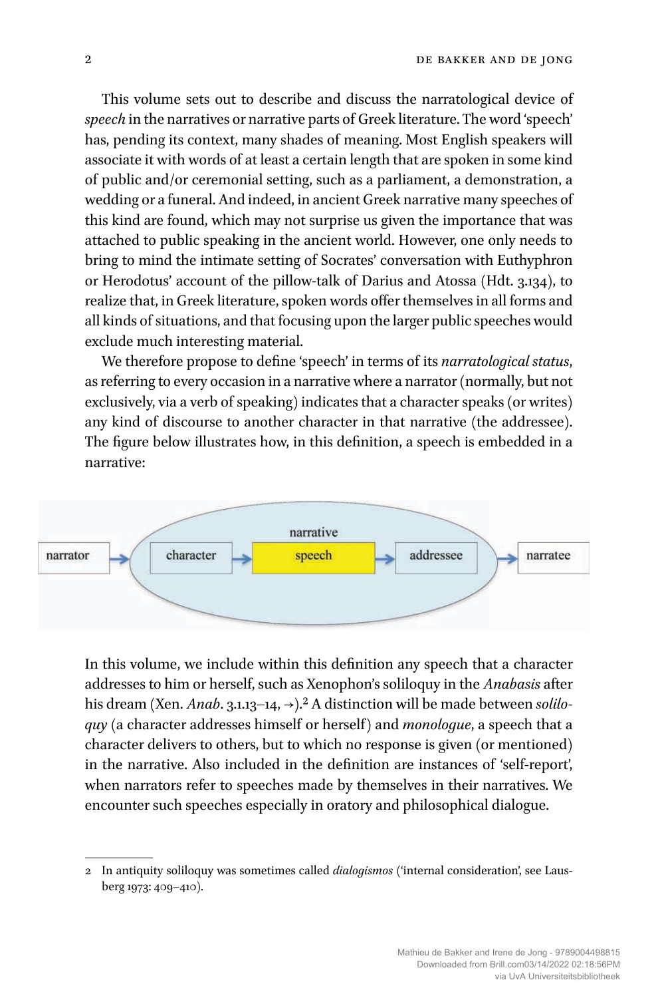This volume sets out to describe and discuss the narratological device of *speech* in the narratives or narrative parts of Greek literature. The word 'speech' has, pending its context, many shades of meaning. Most English speakers will associate it with words of at least a certain length that are spoken in some kind of public and/or ceremonial setting, such as a parliament, a demonstration, a wedding or a funeral. And indeed, in ancient Greek narrative many speeches of this kind are found, which may not surprise us given the importance that was attached to public speaking in the ancient world. However, one only needs to bring to mind the intimate setting of Socrates' conversation with Euthyphron or Herodotus' account of the pillow-talk of Darius and Atossa (Hdt. 3.134), to realize that, in Greek literature, spoken words offer themselves in all forms and all kinds of situations, and that focusing upon the larger public speeches would exclude much interesting material.

We therefore propose to define 'speech' in terms of its *narratological status*, as referring to every occasion in a narrative where a narrator (normally, but not exclusively, via a verb of speaking) indicates that a character speaks (or writes) any kind of discourse to another character in that narrative (the addressee). The figure below illustrates how, in this definition, a speech is embedded in a narrative:



In this volume, we include within this definition any speech that a character addresses to him or herself, such as Xenophon's soliloquy in the *Anabasis* after his dream (Xen. *Anab*. 3.1.13–14, →).2 A distinction will be made between *soliloquy* (a character addresses himself or herself) and *monologue*, a speech that a character delivers to others, but to which no response is given (or mentioned) in the narrative. Also included in the definition are instances of 'self-report', when narrators refer to speeches made by themselves in their narratives. We encounter such speeches especially in oratory and philosophical dialogue.

<sup>2</sup> In antiquity soliloquy was sometimes called *dialogismos* ('internal consideration', see Lausberg 1973: 409–410).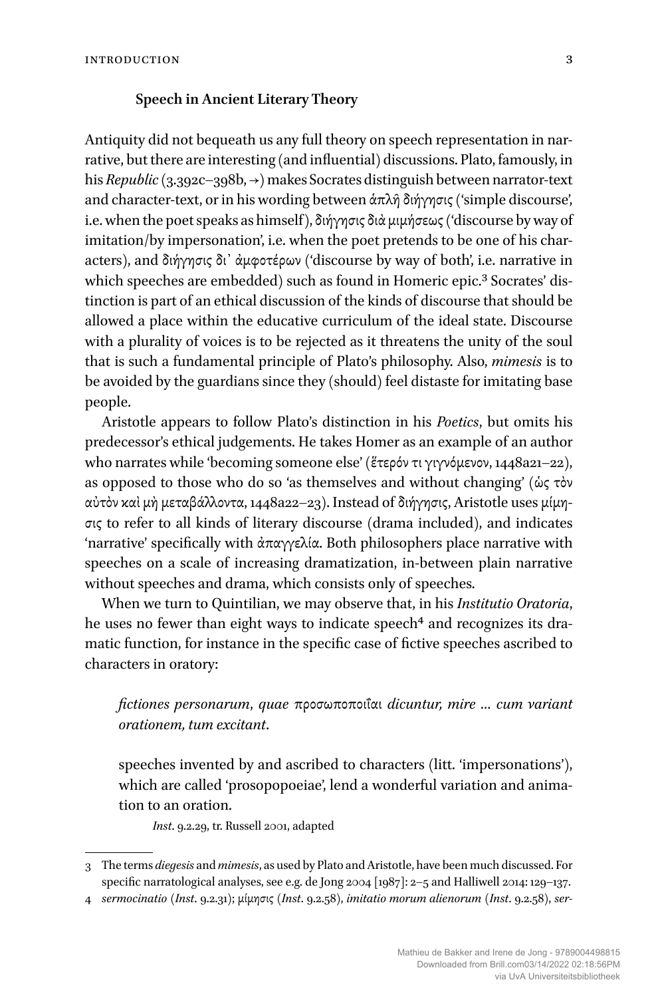#### **Speech in Ancient Literary Theory**

Antiquity did not bequeath us any full theory on speech representation in narrative, but there are interesting (and influential) discussions. Plato, famously, in his *Republic*(3.392c–398b, →) makes Socrates distinguish between narrator-text and character-text, or in his wording between ἁπλῆ διήγησις ('simple discourse', i.e. when the poet speaks as himself), διήγησις διὰ μιμήσεως ('discourse by way of imitation/by impersonation', i.e. when the poet pretends to be one of his characters), and διήγησις δι᾽ ἀμφοτέρων ('discourse by way of both', i.e. narrative in which speeches are embedded) such as found in Homeric epic.<sup>3</sup> Socrates' distinction is part of an ethical discussion of the kinds of discourse that should be allowed a place within the educative curriculum of the ideal state. Discourse with a plurality of voices is to be rejected as it threatens the unity of the soul that is such a fundamental principle of Plato's philosophy. Also, *mimesis* is to be avoided by the guardians since they (should) feel distaste for imitating base people.

Aristotle appears to follow Plato's distinction in his *Poetics*, but omits his predecessor's ethical judgements. He takes Homer as an example of an author who narrates while 'becoming someone else' (ἕτερόν τι γιγνόμενον, 1448a21–22), as opposed to those who do so 'as themselves and without changing' (ὡς τὸν αὐτὸν καὶ μὴ μεταβάλλοντα, 1448a22–23). Instead of διήγησις, Aristotle uses μίμησις to refer to all kinds of literary discourse (drama included), and indicates 'narrative' specifically with ἀπαγγελία. Both philosophers place narrative with speeches on a scale of increasing dramatization, in-between plain narrative without speeches and drama, which consists only of speeches.

When we turn to Quintilian, we may observe that, in his *Institutio Oratoria*, he uses no fewer than eight ways to indicate speech<sup>4</sup> and recognizes its dramatic function, for instance in the specific case of fictive speeches ascribed to characters in oratory:

## *fictiones personarum*, *quae* προσωποποιΐαι *dicuntur, mire … cum variant orationem, tum excitant*.

speeches invented by and ascribed to characters (litt. 'impersonations'), which are called 'prosopopoeiae', lend a wonderful variation and animation to an oration.

*Inst*. 9.2.29, tr. Russell 2001, adapted

<sup>3</sup> The terms *diegesis* and *mimesis*, as used by Plato and Aristotle, have been much discussed. For specific narratological analyses, see e.g. de Jong 2004 [1987]: 2–5 and Halliwell 2014: 129–137.

<sup>4</sup> *sermocinatio* (*Inst*. 9.2.31); μίμησις (*Inst*. 9.2.58), *imitatio morum alienorum* (*Inst*. 9.2.58), *ser-*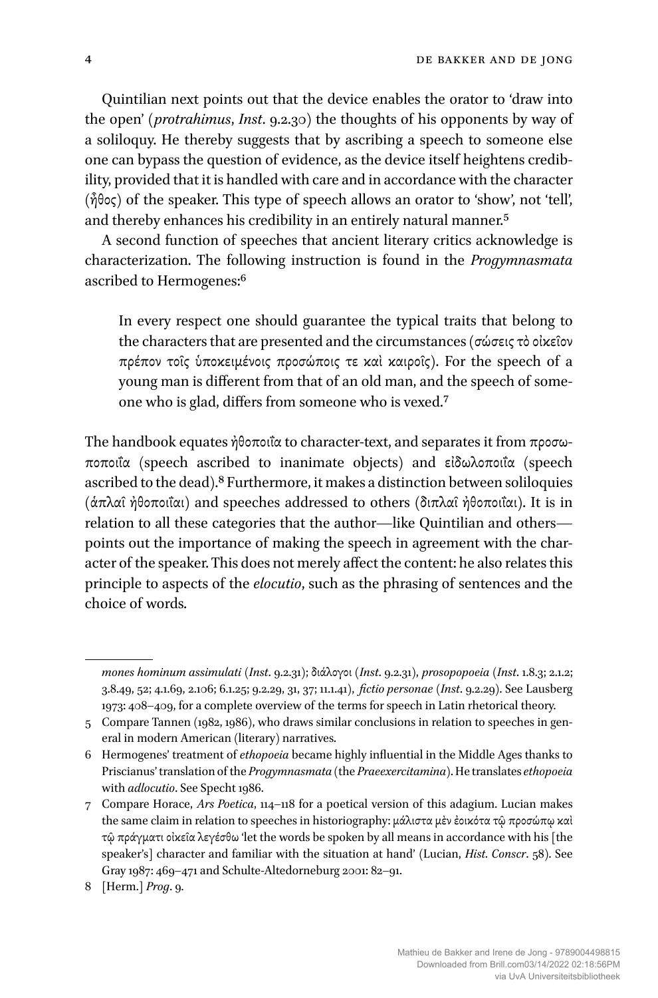Quintilian next points out that the device enables the orator to 'draw into the open' (*protrahimus*, *Inst*. 9.2.30) the thoughts of his opponents by way of a soliloquy. He thereby suggests that by ascribing a speech to someone else one can bypass the question of evidence, as the device itself heightens credibility, provided that it is handled with care and in accordance with the character (ἦθος) of the speaker. This type of speech allows an orator to 'show', not 'tell', and thereby enhances his credibility in an entirely natural manner.5

A second function of speeches that ancient literary critics acknowledge is characterization. The following instruction is found in the *Progymnasmata* ascribed to Hermogenes:6

In every respect one should guarantee the typical traits that belong to the characters that are presented and the circumstances (σώσεις τὸ οἰκεῖον πρέπον τοῖς ὑποκειμένοις προσώποις τε καὶ καιροῖς). For the speech of a young man is different from that of an old man, and the speech of someone who is glad, differs from someone who is vexed.7

The handbook equates ἠθοποιΐα to character-text, and separates it from προσωποποιΐα (speech ascribed to inanimate objects) and εἰδωλοποιΐα (speech ascribed to the dead).8 Furthermore, it makes a distinction between soliloquies (ἁπλαῖ ἠθοποιΐαι) and speeches addressed to others (διπλαῖ ἠθοποιΐαι). It is in relation to all these categories that the author—like Quintilian and others points out the importance of making the speech in agreement with the character of the speaker. This does not merely affect the content: he also relates this principle to aspects of the *elocutio*, such as the phrasing of sentences and the choice of words.

*mones hominum assimulati* (*Inst*. 9.2.31); διάλογοι (*Inst*. 9.2.31), *prosopopoeia* (*Inst*. 1.8.3; 2.1.2; 3.8.49, 52; 4.1.69, 2.106; 6.1.25; 9.2.29, 31, 37; 11.1.41), *fictio personae* (*Inst*. 9.2.29). See Lausberg 1973: 408–409, for a complete overview of the terms for speech in Latin rhetorical theory.

<sup>5</sup> Compare Tannen (1982, 1986), who draws similar conclusions in relation to speeches in general in modern American (literary) narratives.

<sup>6</sup> Hermogenes' treatment of *ethopoeia* became highly influential in the Middle Ages thanks to Priscianus' translation of the *Progymnasmata* (the *Praeexercitamina*). He translates*ethopoeia* with *adlocutio*. See Specht 1986.

<sup>7</sup> Compare Horace, *Ars Poetica*, 114–118 for a poetical version of this adagium. Lucian makes the same claim in relation to speeches in historiography: μάλιστα μὲν ἐοικότα τῷ προσώπῳ καὶ τῷ πράγματι οἰκεῖα λεγέσθω 'let the words be spoken by all means in accordance with his [the speaker's] character and familiar with the situation at hand' (Lucian, *Hist. Conscr*. 58). See Gray 1987: 469–471 and Schulte-Altedorneburg 2001: 82–91.

<sup>8 [</sup>Herm.] *Prog*. 9.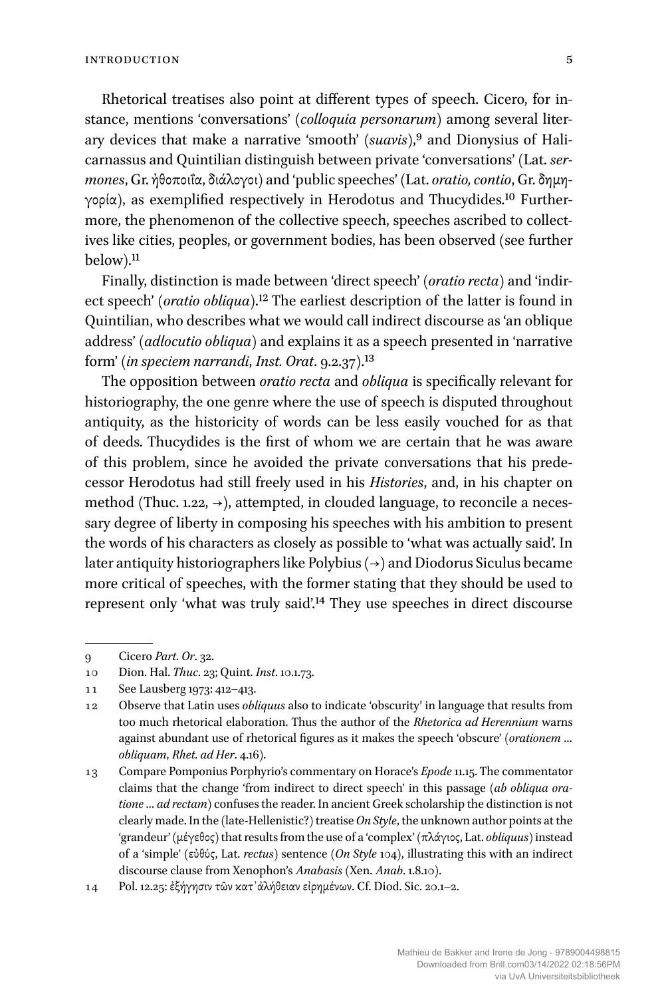Rhetorical treatises also point at different types of speech. Cicero, for instance, mentions 'conversations' (*colloquia personarum*) among several literary devices that make a narrative 'smooth' (*suavis*),<sup>9</sup> and Dionysius of Halicarnassus and Quintilian distinguish between private 'conversations' (Lat. *sermones*, Gr. ἠθοποιΐα, διάλογοι) and 'public speeches' (Lat. *oratio, contio*, Gr. δημηγορία), as exemplified respectively in Herodotus and Thucydides.10 Furthermore, the phenomenon of the collective speech, speeches ascribed to collectives like cities, peoples, or government bodies, has been observed (see further below).11

Finally, distinction is made between 'direct speech' (*oratio recta*) and 'indirect speech' (*oratio obliqua*).12 The earliest description of the latter is found in Quintilian, who describes what we would call indirect discourse as 'an oblique address' (*adlocutio obliqua*) and explains it as a speech presented in 'narrative form' (*in speciem narrandi*, *Inst. Orat*. 9.2.37).13

The opposition between *oratio recta* and *obliqua* is specifically relevant for historiography, the one genre where the use of speech is disputed throughout antiquity, as the historicity of words can be less easily vouched for as that of deeds. Thucydides is the first of whom we are certain that he was aware of this problem, since he avoided the private conversations that his predecessor Herodotus had still freely used in his *Histories*, and, in his chapter on method (Thuc. 1.22,  $\rightarrow$ ), attempted, in clouded language, to reconcile a necessary degree of liberty in composing his speeches with his ambition to present the words of his characters as closely as possible to 'what was actually said'. In later antiquity historiographers like Polybius ( $\rightarrow$ ) and Diodorus Siculus became more critical of speeches, with the former stating that they should be used to represent only 'what was truly said'.14 They use speeches in direct discourse

<sup>9</sup> Cicero *Part. Or*. 32.

<sup>10</sup> Dion. Hal. *Thuc*. 23; Quint. *Inst*. 10.1.73.

<sup>11</sup> See Lausberg 1973: 412–413.

<sup>12</sup> Observe that Latin uses *obliquus* also to indicate 'obscurity' in language that results from too much rhetorical elaboration. Thus the author of the *Rhetorica ad Herennium* warns against abundant use of rhetorical figures as it makes the speech 'obscure' (*orationem … obliquam*, *Rhet. ad Her*. 4.16).

<sup>13</sup> Compare Pomponius Porphyrio's commentary on Horace's *Epode*11.15. The commentator claims that the change 'from indirect to direct speech' in this passage (*ab obliqua oratione … ad rectam*) confuses the reader. In ancient Greek scholarship the distinction is not clearly made. In the (late-Hellenistic?) treatise *On Style*, the unknown author points at the 'grandeur' (μέγεθος) that results from the use of a 'complex' (πλάγιος, Lat. *obliquus*) instead of a 'simple' (εὐθύς, Lat. *rectus*) sentence (*On Style* 104), illustrating this with an indirect discourse clause from Xenophon's *Anabasis* (Xen. *Anab*. 1.8.10).

<sup>14</sup> Pol. 12.25: ἐξήγησιν τῶν κατ᾽ἀλήθειαν εἰρημένων. Cf. Diod. Sic. 20.1–2.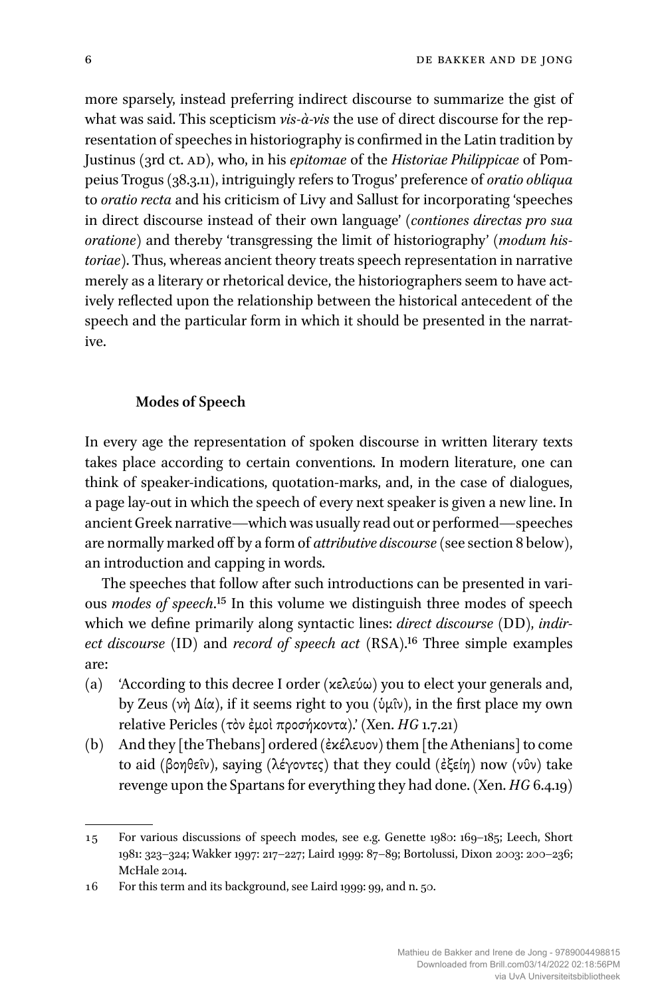more sparsely, instead preferring indirect discourse to summarize the gist of what was said. This scepticism *vis-à-vis* the use of direct discourse for the representation of speeches in historiography is confirmed in the Latin tradition by Justinus (3rd ct. ad), who, in his *epitomae* of the *Historiae Philippicae* of Pompeius Trogus (38.3.11), intriguingly refers to Trogus' preference of *oratio obliqua* to *oratio recta* and his criticism of Livy and Sallust for incorporating 'speeches in direct discourse instead of their own language' (*contiones directas pro sua oratione*) and thereby 'transgressing the limit of historiography' (*modum historiae*). Thus, whereas ancient theory treats speech representation in narrative merely as a literary or rhetorical device, the historiographers seem to have actively reflected upon the relationship between the historical antecedent of the speech and the particular form in which it should be presented in the narrative.

#### **Modes of Speech**

In every age the representation of spoken discourse in written literary texts takes place according to certain conventions. In modern literature, one can think of speaker-indications, quotation-marks, and, in the case of dialogues, a page lay-out in which the speech of every next speaker is given a new line. In ancient Greek narrative—which was usually read out or performed—speeches are normally marked off by a form of *attributive discourse*(see section 8 below), an introduction and capping in words.

The speeches that follow after such introductions can be presented in various *modes of speech*.15 In this volume we distinguish three modes of speech which we define primarily along syntactic lines: *direct discourse* (DD), *indirect discourse* (ID) and *record of speech act* (RSA).16 Three simple examples are:

- (a) 'According to this decree I order (κελεύω) you to elect your generals and, by Zeus (νὴ Δία), if it seems right to you (ὑμῖν), in the first place my own relative Pericles (τὸν ἐμοὶ προσήκοντα).' (Xen. *HG* 1.7.21)
- (b) And they [the Thebans] ordered (ἐκέλευον) them [the Athenians] to come to aid (βοηθεῖν), saying (λέγοντες) that they could (ἐξείη) now (νῦν) take revenge upon the Spartans for everything they had done. (Xen. *HG* 6.4.19)

<sup>15</sup> For various discussions of speech modes, see e.g. Genette 1980: 169–185; Leech, Short 1981: 323–324; Wakker 1997: 217–227; Laird 1999: 87–89; Bortolussi, Dixon 2003: 200–236; McHale 2014.

<sup>16</sup> For this term and its background, see Laird 1999: 99, and n. 50.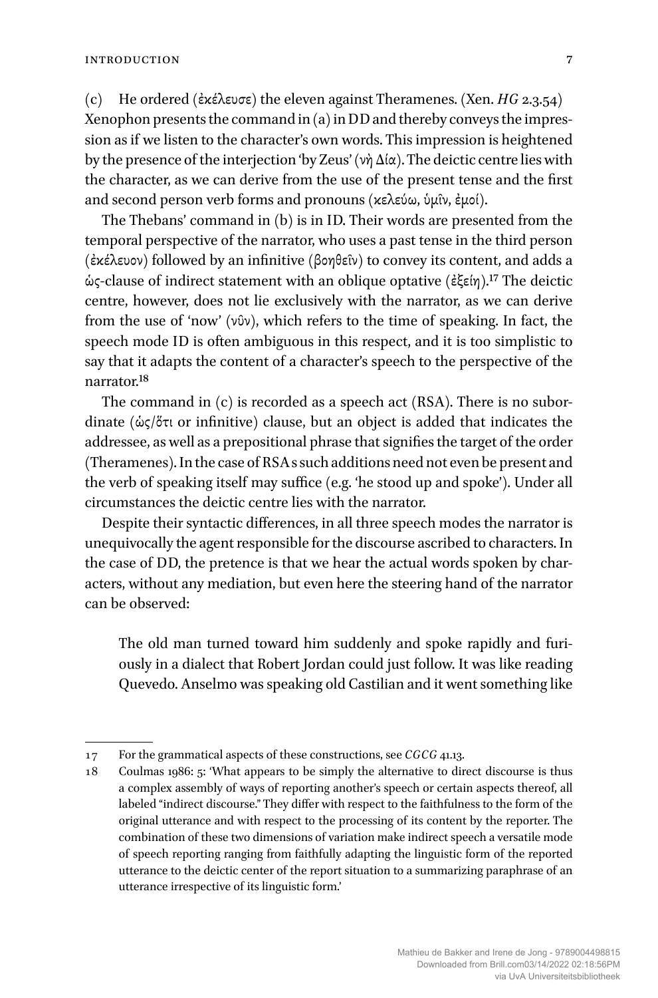(c) He ordered (ἐκέλευσε) the eleven against Theramenes. (Xen. *HG* 2.3.54) Xenophon presents the command in (a) in DD and thereby conveys the impression as if we listen to the character's own words. This impression is heightened by the presence of the interjection 'by Zeus' (νὴ Δία). The deictic centre lies with the character, as we can derive from the use of the present tense and the first and second person verb forms and pronouns (κελεύω, ὑμῖν, ἐμοί).

The Thebans' command in (b) is in ID. Their words are presented from the temporal perspective of the narrator, who uses a past tense in the third person (ἐκέλευον) followed by an infinitive (βοηθεῖν) to convey its content, and adds a ὡς-clause of indirect statement with an oblique optative (ἐξείη).17 The deictic centre, however, does not lie exclusively with the narrator, as we can derive from the use of 'now' (νῦν), which refers to the time of speaking. In fact, the speech mode ID is often ambiguous in this respect, and it is too simplistic to say that it adapts the content of a character's speech to the perspective of the narrator.18

The command in (c) is recorded as a speech act (RSA). There is no subordinate (ὡς/ὅτι or infinitive) clause, but an object is added that indicates the addressee, as well as a prepositional phrase that signifies the target of the order (Theramenes).In the case of RSA s such additions need not even be present and the verb of speaking itself may suffice (e.g. 'he stood up and spoke'). Under all circumstances the deictic centre lies with the narrator.

Despite their syntactic differences, in all three speech modes the narrator is unequivocally the agent responsible for the discourse ascribed to characters. In the case of DD, the pretence is that we hear the actual words spoken by characters, without any mediation, but even here the steering hand of the narrator can be observed:

The old man turned toward him suddenly and spoke rapidly and furiously in a dialect that Robert Jordan could just follow. It was like reading Quevedo. Anselmo was speaking old Castilian and it went something like

<sup>17</sup> For the grammatical aspects of these constructions, see *CGCG* 41.13.

<sup>18</sup> Coulmas 1986: 5: 'What appears to be simply the alternative to direct discourse is thus a complex assembly of ways of reporting another's speech or certain aspects thereof, all labeled "indirect discourse." They differ with respect to the faithfulness to the form of the original utterance and with respect to the processing of its content by the reporter. The combination of these two dimensions of variation make indirect speech a versatile mode of speech reporting ranging from faithfully adapting the linguistic form of the reported utterance to the deictic center of the report situation to a summarizing paraphrase of an utterance irrespective of its linguistic form.'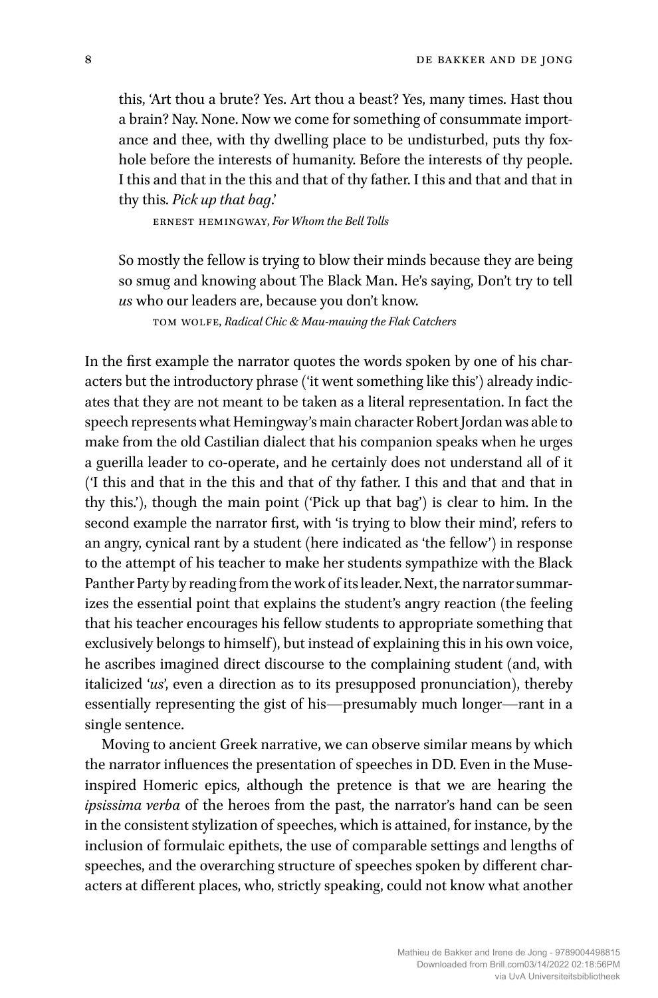this, 'Art thou a brute? Yes. Art thou a beast? Yes, many times. Hast thou a brain? Nay. None. Now we come for something of consummate importance and thee, with thy dwelling place to be undisturbed, puts thy foxhole before the interests of humanity. Before the interests of thy people. I this and that in the this and that of thy father. I this and that and that in thy this. *Pick up that bag*.'

ernest hemingway, *For Whom the Bell Tolls*

So mostly the fellow is trying to blow their minds because they are being so smug and knowing about The Black Man. He's saying, Don't try to tell *us* who our leaders are, because you don't know.

tom wolfe, *Radical Chic & Mau-mauing the Flak Catchers*

In the first example the narrator quotes the words spoken by one of his characters but the introductory phrase ('it went something like this') already indicates that they are not meant to be taken as a literal representation. In fact the speech represents what Hemingway's main character Robert Jordan was able to make from the old Castilian dialect that his companion speaks when he urges a guerilla leader to co-operate, and he certainly does not understand all of it ('I this and that in the this and that of thy father. I this and that and that in thy this.'), though the main point ('Pick up that bag') is clear to him. In the second example the narrator first, with 'is trying to blow their mind', refers to an angry, cynical rant by a student (here indicated as 'the fellow') in response to the attempt of his teacher to make her students sympathize with the Black Panther Party by reading from the work of its leader. Next, the narrator summarizes the essential point that explains the student's angry reaction (the feeling that his teacher encourages his fellow students to appropriate something that exclusively belongs to himself), but instead of explaining this in his own voice, he ascribes imagined direct discourse to the complaining student (and, with italicized '*us*', even a direction as to its presupposed pronunciation), thereby essentially representing the gist of his—presumably much longer—rant in a single sentence.

Moving to ancient Greek narrative, we can observe similar means by which the narrator influences the presentation of speeches in DD. Even in the Museinspired Homeric epics, although the pretence is that we are hearing the *ipsissima verba* of the heroes from the past, the narrator's hand can be seen in the consistent stylization of speeches, which is attained, for instance, by the inclusion of formulaic epithets, the use of comparable settings and lengths of speeches, and the overarching structure of speeches spoken by different characters at different places, who, strictly speaking, could not know what another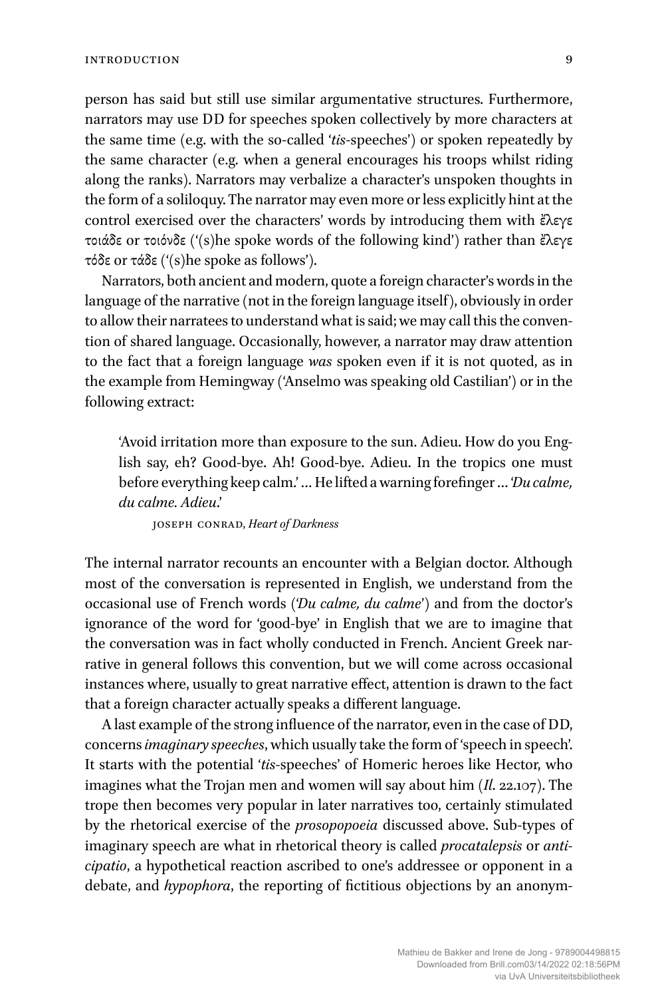person has said but still use similar argumentative structures. Furthermore, narrators may use DD for speeches spoken collectively by more characters at the same time (e.g. with the so-called '*tis*-speeches') or spoken repeatedly by the same character (e.g. when a general encourages his troops whilst riding along the ranks). Narrators may verbalize a character's unspoken thoughts in the form of a soliloquy. The narrator may even more or less explicitly hint at the control exercised over the characters' words by introducing them with ἔλεγε τοιάδε or τοιόνδε ('(s)he spoke words of the following kind') rather than ἔλεγε τόδε or τάδε ('(s)he spoke as follows').

Narrators, both ancient and modern, quote a foreign character's words in the language of the narrative (not in the foreign language itself), obviously in order to allow their narratees to understand what is said; we may call this the convention of shared language. Occasionally, however, a narrator may draw attention to the fact that a foreign language *was* spoken even if it is not quoted, as in the example from Hemingway ('Anselmo was speaking old Castilian') or in the following extract:

'Avoid irritation more than exposure to the sun. Adieu. How do you English say, eh? Good-bye. Ah! Good-bye. Adieu. In the tropics one must before everything keep calm.' … He lifted awarningforefinger … '*Du calme, du calme. Adieu*.'

joseph conrad, *Heart of Darkness*

The internal narrator recounts an encounter with a Belgian doctor. Although most of the conversation is represented in English, we understand from the occasional use of French words ('*Du calme, du calme*') and from the doctor's ignorance of the word for 'good-bye' in English that we are to imagine that the conversation was in fact wholly conducted in French. Ancient Greek narrative in general follows this convention, but we will come across occasional instances where, usually to great narrative effect, attention is drawn to the fact that a foreign character actually speaks a different language.

A last example of the strong influence of the narrator, even in the case of DD, concerns*imaginary speeches*, which usually take the form of 'speech in speech'. It starts with the potential '*tis*-speeches' of Homeric heroes like Hector, who imagines what the Trojan men and women will say about him (*Il*. 22.107). The trope then becomes very popular in later narratives too, certainly stimulated by the rhetorical exercise of the *prosopopoeia* discussed above. Sub-types of imaginary speech are what in rhetorical theory is called *procatalepsis* or *anticipatio*, a hypothetical reaction ascribed to one's addressee or opponent in a debate, and *hypophora*, the reporting of fictitious objections by an anonym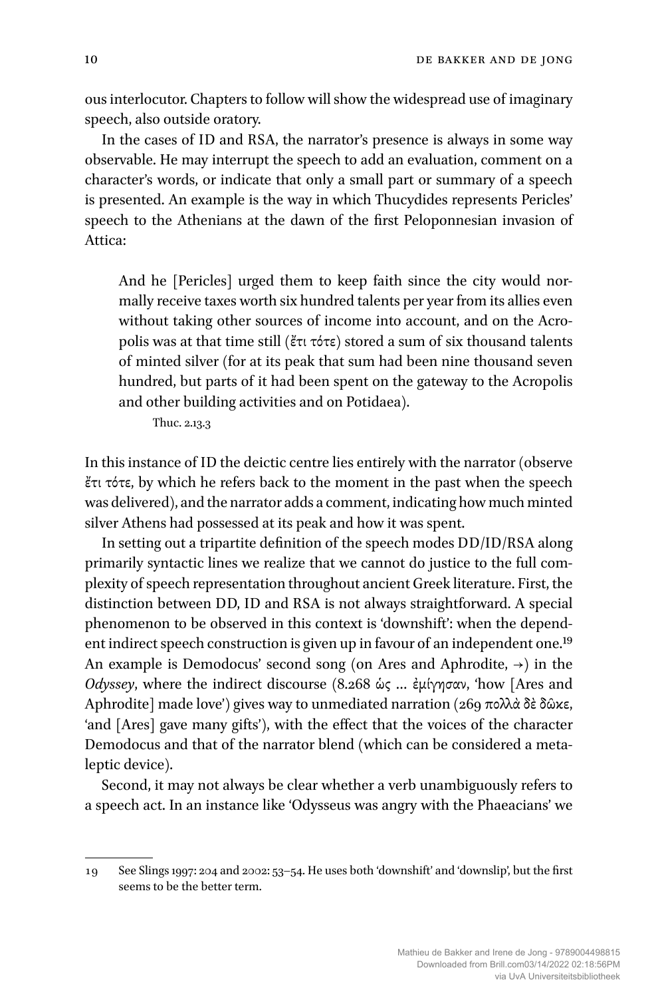ous interlocutor. Chapters to follow will show the widespread use of imaginary speech, also outside oratory.

In the cases of ID and RSA, the narrator's presence is always in some way observable. He may interrupt the speech to add an evaluation, comment on a character's words, or indicate that only a small part or summary of a speech is presented. An example is the way in which Thucydides represents Pericles' speech to the Athenians at the dawn of the first Peloponnesian invasion of Attica:

And he [Pericles] urged them to keep faith since the city would normally receive taxes worth six hundred talents per year from its allies even without taking other sources of income into account, and on the Acropolis was at that time still (ἔτι τότε) stored a sum of six thousand talents of minted silver (for at its peak that sum had been nine thousand seven hundred, but parts of it had been spent on the gateway to the Acropolis and other building activities and on Potidaea).

Thuc. 2.13.3

In this instance of ID the deictic centre lies entirely with the narrator (observe ἔτι τότε, by which he refers back to the moment in the past when the speech was delivered), and the narrator adds a comment, indicating how much minted silver Athens had possessed at its peak and how it was spent.

In setting out a tripartite definition of the speech modes DD/ID/RSA along primarily syntactic lines we realize that we cannot do justice to the full complexity of speech representation throughout ancient Greek literature. First, the distinction between DD, ID and RSA is not always straightforward. A special phenomenon to be observed in this context is 'downshift': when the dependent indirect speech construction is given up in favour of an independent one.<sup>19</sup> An example is Demodocus' second song (on Ares and Aphrodite,  $\rightarrow$ ) in the *Odyssey*, where the indirect discourse (8.268 ὡς … ἐμίγησαν, 'how [Ares and Aphrodite] made love') gives way to unmediated narration (269 πολλὰ δὲ δῶκε, 'and [Ares] gave many gifts'), with the effect that the voices of the character Demodocus and that of the narrator blend (which can be considered a metaleptic device).

Second, it may not always be clear whether a verb unambiguously refers to a speech act. In an instance like 'Odysseus was angry with the Phaeacians' we

<sup>19</sup> See Slings 1997: 204 and 2002: 53–54. He uses both 'downshift' and 'downslip', but the first seems to be the better term.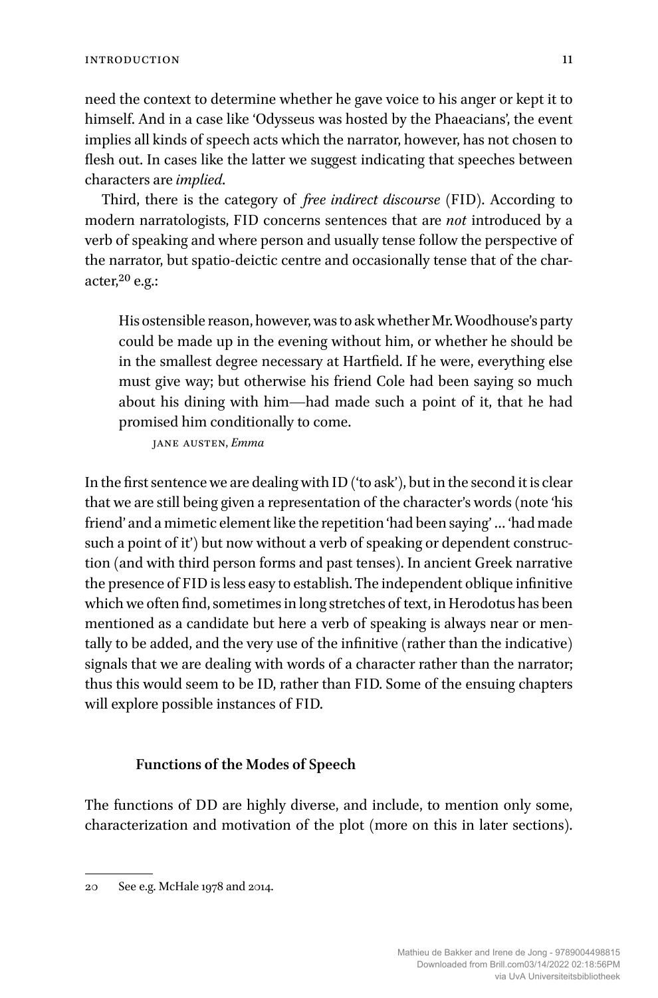need the context to determine whether he gave voice to his anger or kept it to himself. And in a case like 'Odysseus was hosted by the Phaeacians', the event implies all kinds of speech acts which the narrator, however, has not chosen to flesh out. In cases like the latter we suggest indicating that speeches between characters are *implied*.

Third, there is the category of *free indirect discourse* (FID). According to modern narratologists, FID concerns sentences that are *not* introduced by a verb of speaking and where person and usually tense follow the perspective of the narrator, but spatio-deictic centre and occasionally tense that of the character, $20$  e.g.:

His ostensible reason, however,was to askwhether Mr.Woodhouse's party could be made up in the evening without him, or whether he should be in the smallest degree necessary at Hartfield. If he were, everything else must give way; but otherwise his friend Cole had been saying so much about his dining with him—had made such a point of it, that he had promised him conditionally to come.

jane austen, *Emma*

In the first sentence we are dealing with ID ('to ask'), but in the second it is clear that we are still being given a representation of the character's words (note 'his friend' and a mimetic element like the repetition 'had been saying' … 'had made such a point of it') but now without a verb of speaking or dependent construction (and with third person forms and past tenses). In ancient Greek narrative the presence of FID is less easy to establish. The independent oblique infinitive which we often find, sometimes in long stretches of text, in Herodotus has been mentioned as a candidate but here a verb of speaking is always near or mentally to be added, and the very use of the infinitive (rather than the indicative) signals that we are dealing with words of a character rather than the narrator; thus this would seem to be ID, rather than FID. Some of the ensuing chapters will explore possible instances of FID.

#### **Functions of the Modes of Speech**

The functions of DD are highly diverse, and include, to mention only some, characterization and motivation of the plot (more on this in later sections).

<sup>20</sup> See e.g. McHale 1978 and 2014.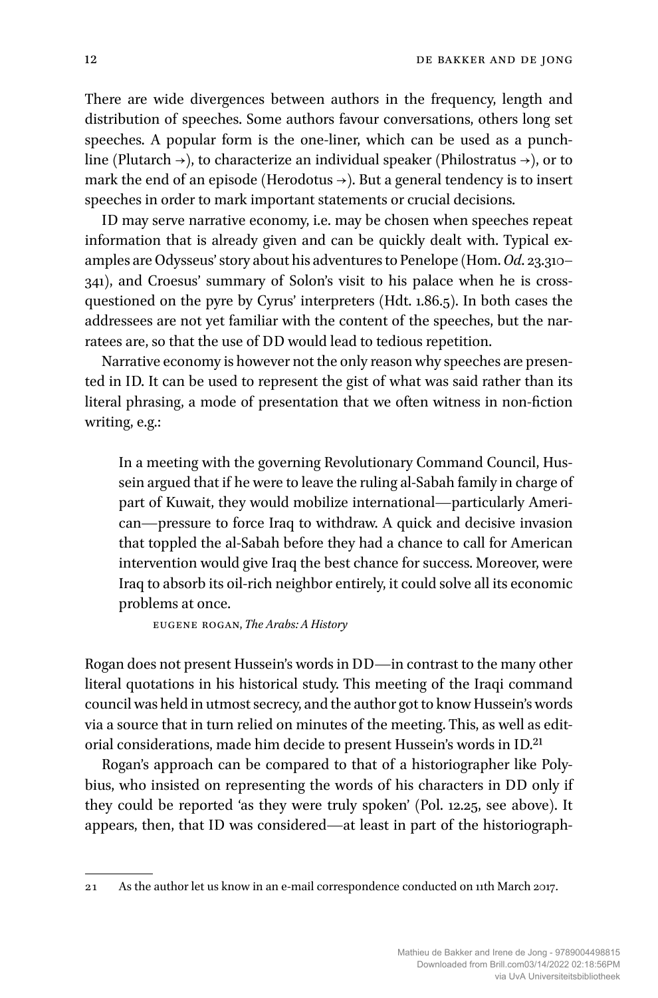There are wide divergences between authors in the frequency, length and distribution of speeches. Some authors favour conversations, others long set speeches. A popular form is the one-liner, which can be used as a punchline (Plutarch  $\rightarrow$ ), to characterize an individual speaker (Philostratus  $\rightarrow$ ), or to mark the end of an episode (Herodotus  $\rightarrow$ ). But a general tendency is to insert speeches in order to mark important statements or crucial decisions.

ID may serve narrative economy, i.e. may be chosen when speeches repeat information that is already given and can be quickly dealt with. Typical examples are Odysseus' story about his adventures to Penelope (Hom.*Od*. 23.310– 341), and Croesus' summary of Solon's visit to his palace when he is crossquestioned on the pyre by Cyrus' interpreters (Hdt. 1.86.5). In both cases the addressees are not yet familiar with the content of the speeches, but the narratees are, so that the use of DD would lead to tedious repetition.

Narrative economy is however not the only reason why speeches are presented in ID. It can be used to represent the gist of what was said rather than its literal phrasing, a mode of presentation that we often witness in non-fiction writing, e.g.:

In a meeting with the governing Revolutionary Command Council, Hussein argued that if he were to leave the ruling al-Sabah family in charge of part of Kuwait, they would mobilize international—particularly American—pressure to force Iraq to withdraw. A quick and decisive invasion that toppled the al-Sabah before they had a chance to call for American intervention would give Iraq the best chance for success. Moreover, were Iraq to absorb its oil-rich neighbor entirely, it could solve all its economic problems at once.

eugene rogan, *The Arabs: A History*

Rogan does not present Hussein's words in DD—in contrast to the many other literal quotations in his historical study. This meeting of the Iraqi command council was held in utmost secrecy, and the author got to know Hussein's words via a source that in turn relied on minutes of the meeting. This, as well as editorial considerations, made him decide to present Hussein's words in ID.21

Rogan's approach can be compared to that of a historiographer like Polybius, who insisted on representing the words of his characters in DD only if they could be reported 'as they were truly spoken' (Pol. 12.25, see above). It appears, then, that ID was considered—at least in part of the historiograph-

<sup>21</sup> As the author let us know in an e-mail correspondence conducted on 11th March 2017.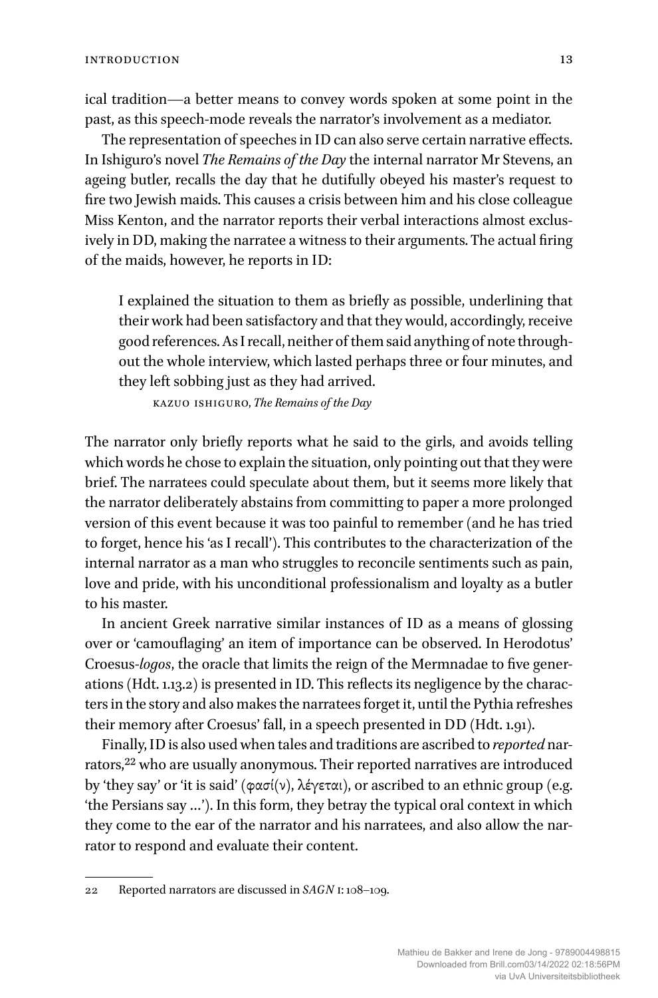ical tradition—a better means to convey words spoken at some point in the past, as this speech-mode reveals the narrator's involvement as a mediator.

The representation of speeches in ID can also serve certain narrative effects. In Ishiguro's novel *The Remains of the Day* the internal narrator Mr Stevens, an ageing butler, recalls the day that he dutifully obeyed his master's request to fire two Jewish maids. This causes a crisis between him and his close colleague Miss Kenton, and the narrator reports their verbal interactions almost exclusively in DD, making the narratee a witness to their arguments. The actual firing of the maids, however, he reports in ID:

I explained the situation to them as briefly as possible, underlining that their work had been satisfactory and that they would, accordingly, receive good references. AsI recall, neither of them said anything of note throughout the whole interview, which lasted perhaps three or four minutes, and they left sobbing just as they had arrived.

kazuo ishiguro, *The Remains of the Day*

The narrator only briefly reports what he said to the girls, and avoids telling which words he chose to explain the situation, only pointing out that they were brief. The narratees could speculate about them, but it seems more likely that the narrator deliberately abstains from committing to paper a more prolonged version of this event because it was too painful to remember (and he has tried to forget, hence his 'as I recall'). This contributes to the characterization of the internal narrator as a man who struggles to reconcile sentiments such as pain, love and pride, with his unconditional professionalism and loyalty as a butler to his master.

In ancient Greek narrative similar instances of ID as a means of glossing over or 'camouflaging' an item of importance can be observed. In Herodotus' Croesus-*logos*, the oracle that limits the reign of the Mermnadae to five generations (Hdt. 1.13.2) is presented in ID. This reflects its negligence by the characters in the story and also makes the narratees forget it, until the Pythia refreshes their memory after Croesus' fall, in a speech presented in DD (Hdt. 1.91).

Finally, ID is also used when tales and traditions are ascribed to *reported* narrators,<sup>22</sup> who are usually anonymous. Their reported narratives are introduced by 'they say' or 'it is said' (φασί(ν), λέγεται), or ascribed to an ethnic group (e.g. 'the Persians say …'). In this form, they betray the typical oral context in which they come to the ear of the narrator and his narratees, and also allow the narrator to respond and evaluate their content.

<sup>22</sup> Reported narrators are discussed in *SAGN* i: 108–109.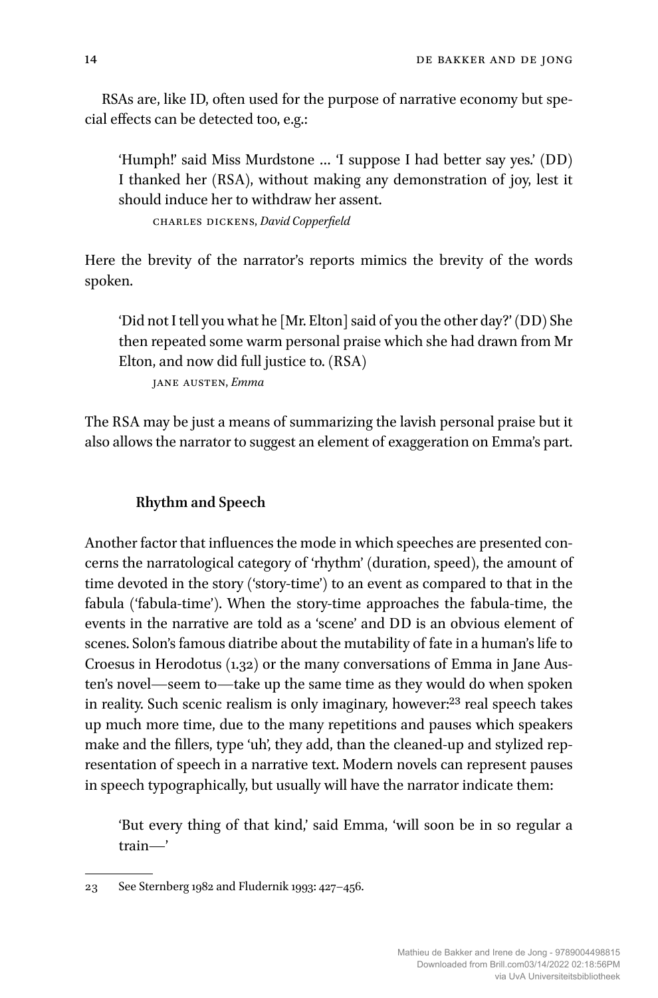RSAs are, like ID, often used for the purpose of narrative economy but special effects can be detected too, e.g.:

'Humph!' said Miss Murdstone … 'I suppose I had better say yes.' (DD) I thanked her (RSA), without making any demonstration of joy, lest it should induce her to withdraw her assent.

charles dickens, *David Copperfield*

Here the brevity of the narrator's reports mimics the brevity of the words spoken.

'Did not I tell you what he [Mr. Elton] said of you the other day?' (DD) She then repeated some warm personal praise which she had drawn from Mr Elton, and now did full justice to. (RSA)

jane austen, *Emma*

The RSA may be just a means of summarizing the lavish personal praise but it also allows the narrator to suggest an element of exaggeration on Emma's part.

#### **Rhythm and Speech**

Another factor that influences the mode in which speeches are presented concerns the narratological category of 'rhythm' (duration, speed), the amount of time devoted in the story ('story-time') to an event as compared to that in the fabula ('fabula-time'). When the story-time approaches the fabula-time, the events in the narrative are told as a 'scene' and DD is an obvious element of scenes. Solon's famous diatribe about the mutability of fate in a human's life to Croesus in Herodotus (1.32) or the many conversations of Emma in Jane Austen's novel—seem to—take up the same time as they would do when spoken in reality. Such scenic realism is only imaginary, however:<sup>23</sup> real speech takes up much more time, due to the many repetitions and pauses which speakers make and the fillers, type 'uh', they add, than the cleaned-up and stylized representation of speech in a narrative text. Modern novels can represent pauses in speech typographically, but usually will have the narrator indicate them:

'But every thing of that kind,' said Emma, 'will soon be in so regular a train—'

<sup>23</sup> See Sternberg 1982 and Fludernik 1993: 427–456.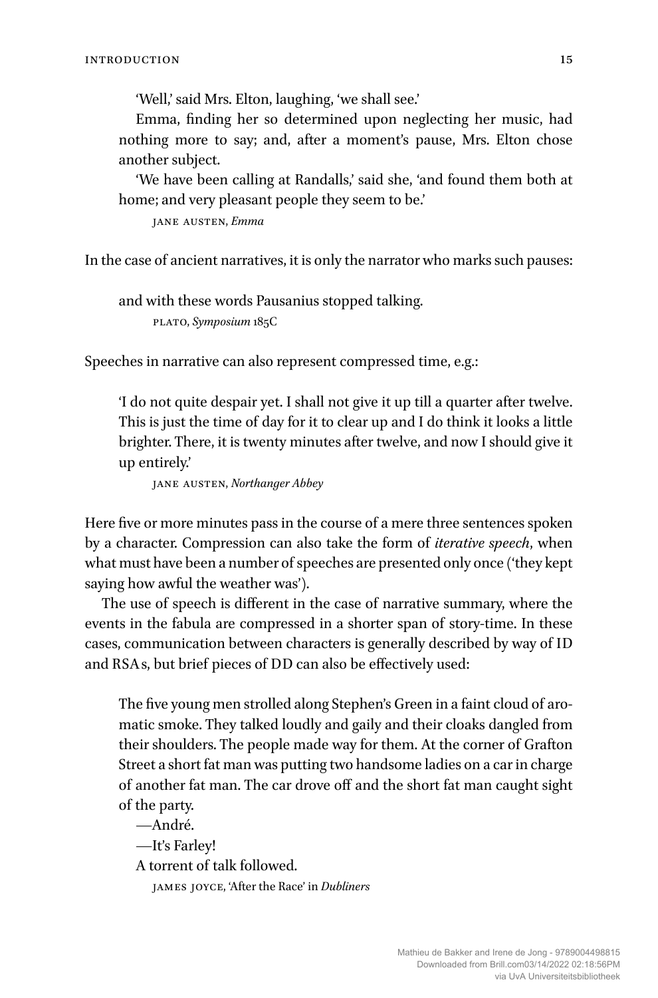'Well,' said Mrs. Elton, laughing, 'we shall see.'

Emma, finding her so determined upon neglecting her music, had nothing more to say; and, after a moment's pause, Mrs. Elton chose another subject.

'We have been calling at Randalls,' said she, 'and found them both at home; and very pleasant people they seem to be.'

jane austen, *Emma*

In the case of ancient narratives, it is only the narrator who marks such pauses:

and with these words Pausanius stopped talking. plato, *Symposium* 185C

Speeches in narrative can also represent compressed time, e.g.:

'I do not quite despair yet. I shall not give it up till a quarter after twelve. This is just the time of day for it to clear up and I do think it looks a little brighter. There, it is twenty minutes after twelve, and now I should give it up entirely.'

jane austen, *Northanger Abbey*

Here five or more minutes pass in the course of a mere three sentences spoken by a character. Compression can also take the form of *iterative speech*, when what must have been a number of speeches are presented only once ('they kept saying how awful the weather was').

The use of speech is different in the case of narrative summary, where the events in the fabula are compressed in a shorter span of story-time. In these cases, communication between characters is generally described by way of ID and RSA s, but brief pieces of DD can also be effectively used:

The five young men strolled along Stephen's Green in a faint cloud of aromatic smoke. They talked loudly and gaily and their cloaks dangled from their shoulders. The people made way for them. At the corner of Grafton Street a short fat man was putting two handsome ladies on a car in charge of another fat man. The car drove off and the short fat man caught sight of the party.

—André. —It's Farley! A torrent of talk followed. james joyce, 'After the Race' in *Dubliners*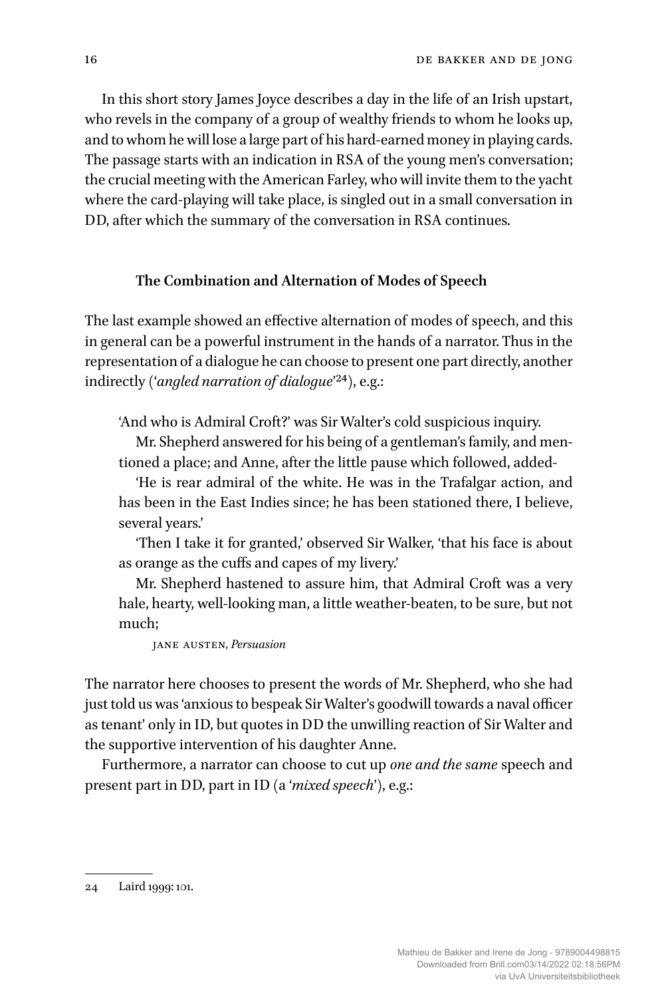In this short story James Joyce describes a day in the life of an Irish upstart, who revels in the company of a group of wealthy friends to whom he looks up, and to whom he will lose a large part of his hard-earned money in playing cards. The passage starts with an indication in RSA of the young men's conversation; the crucial meeting with the American Farley, who will invite them to the yacht where the card-playing will take place, is singled out in a small conversation in DD, after which the summary of the conversation in RSA continues.

#### **The Combination and Alternation of Modes of Speech**

The last example showed an effective alternation of modes of speech, and this in general can be a powerful instrument in the hands of a narrator. Thus in the representation of a dialogue he can choose to present one part directly, another indirectly ('*angled narration of dialogue*'24), e.g.:

'And who is Admiral Croft?' was Sir Walter's cold suspicious inquiry.

Mr. Shepherd answered for his being of a gentleman's family, and mentioned a place; and Anne, after the little pause which followed, added-

'He is rear admiral of the white. He was in the Trafalgar action, and has been in the East Indies since; he has been stationed there, I believe, several years.'

'Then I take it for granted,' observed Sir Walker, 'that his face is about as orange as the cuffs and capes of my livery.'

Mr. Shepherd hastened to assure him, that Admiral Croft was a very hale, hearty, well-looking man, a little weather-beaten, to be sure, but not much;

jane austen, *Persuasion*

The narrator here chooses to present the words of Mr. Shepherd, who she had just told us was 'anxious to bespeak SirWalter's goodwill towards a naval officer as tenant' only in ID, but quotes in DD the unwilling reaction of Sir Walter and the supportive intervention of his daughter Anne.

Furthermore, a narrator can choose to cut up *one and the same* speech and present part in DD, part in ID (a '*mixed speech*'), e.g.:

<sup>24</sup> Laird 1999: 101.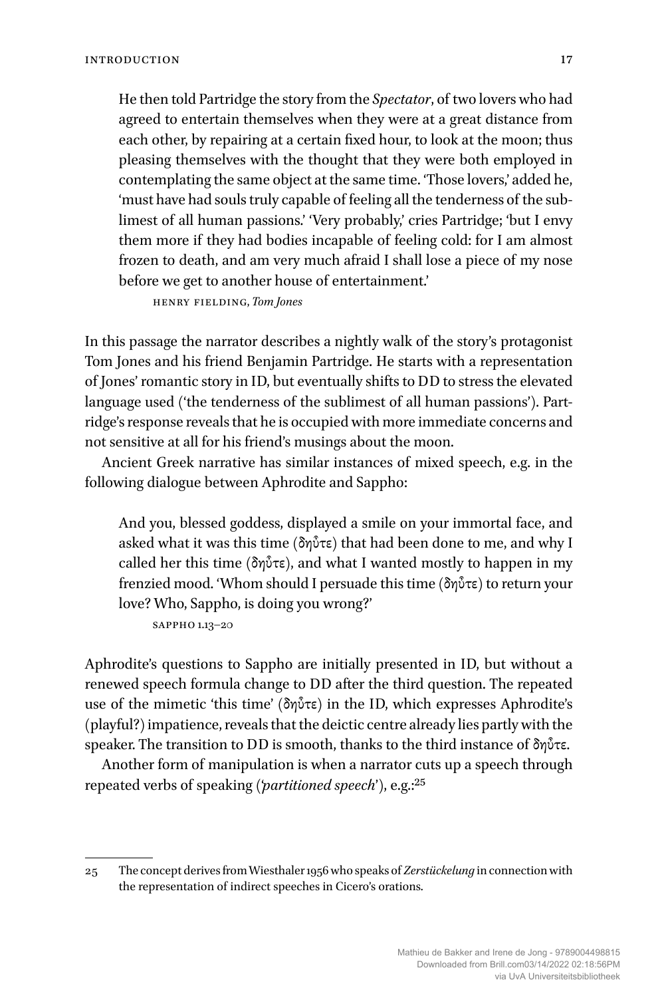He then told Partridge the story from the *Spectator*, of two lovers who had agreed to entertain themselves when they were at a great distance from each other, by repairing at a certain fixed hour, to look at the moon; thus pleasing themselves with the thought that they were both employed in contemplating the same object at the same time. 'Those lovers,' added he, 'must have had souls truly capable of feeling all the tenderness of the sublimest of all human passions.' 'Very probably,' cries Partridge; 'but I envy them more if they had bodies incapable of feeling cold: for I am almost frozen to death, and am very much afraid I shall lose a piece of my nose before we get to another house of entertainment.'

henry fielding, *Tom Jones*

In this passage the narrator describes a nightly walk of the story's protagonist Tom Jones and his friend Benjamin Partridge. He starts with a representation of Jones' romantic story in ID, but eventually shifts to DD to stress the elevated language used ('the tenderness of the sublimest of all human passions'). Partridge's response reveals that he is occupied with more immediate concerns and not sensitive at all for his friend's musings about the moon.

Ancient Greek narrative has similar instances of mixed speech, e.g. in the following dialogue between Aphrodite and Sappho:

And you, blessed goddess, displayed a smile on your immortal face, and asked what it was this time (δηὖτε) that had been done to me, and why I called her this time (δηὖτε), and what I wanted mostly to happen in my frenzied mood. 'Whom should I persuade this time (δηὖτε) to return your love? Who, Sappho, is doing you wrong?'

sappho 1.13–20

Aphrodite's questions to Sappho are initially presented in ID, but without a renewed speech formula change to DD after the third question. The repeated use of the mimetic 'this time' (δηὖτε) in the ID, which expresses Aphrodite's (playful?) impatience, reveals that the deictic centre already lies partly with the speaker. The transition to DD is smooth, thanks to the third instance of δηὖτε.

Another form of manipulation is when a narrator cuts up a speech through repeated verbs of speaking ('*partitioned speech*'), e.g.:25

<sup>25</sup> The concept derives fromWiesthaler1956 who speaks of *Zerstückelung* in connection with the representation of indirect speeches in Cicero's orations.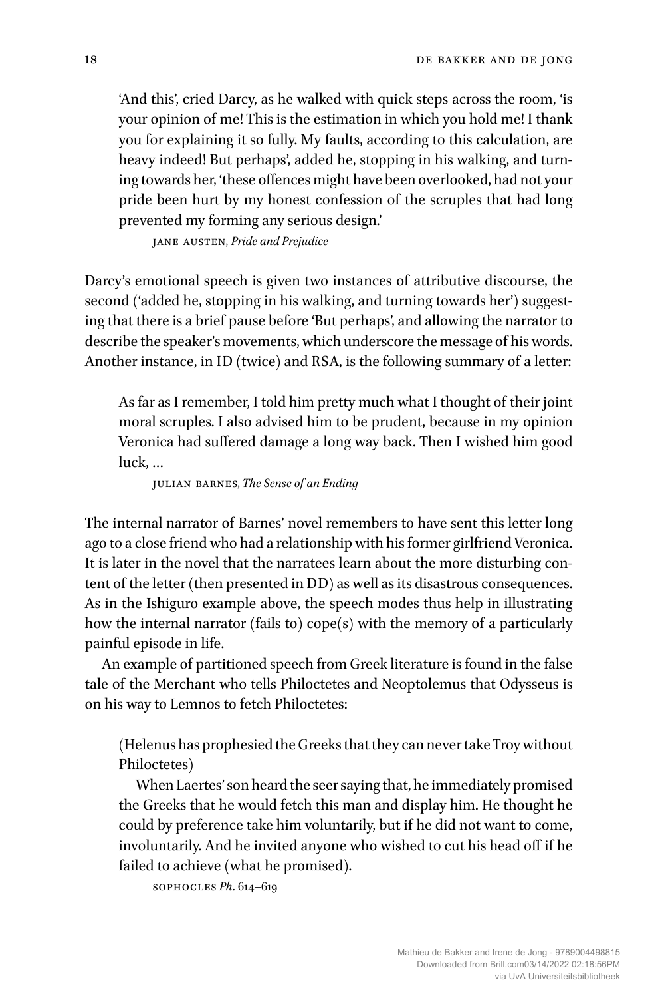'And this', cried Darcy, as he walked with quick steps across the room, 'is your opinion of me! This is the estimation in which you hold me! I thank you for explaining it so fully. My faults, according to this calculation, are heavy indeed! But perhaps', added he, stopping in his walking, and turning towards her, 'these offences might have been overlooked, had not your pride been hurt by my honest confession of the scruples that had long prevented my forming any serious design.'

jane austen, *Pride and Prejudice*

Darcy's emotional speech is given two instances of attributive discourse, the second ('added he, stopping in his walking, and turning towards her') suggesting that there is a brief pause before 'But perhaps', and allowing the narrator to describe the speaker's movements, which underscore the message of his words. Another instance, in ID (twice) and RSA, is the following summary of a letter:

As far as I remember, I told him pretty much what I thought of their joint moral scruples. I also advised him to be prudent, because in my opinion Veronica had suffered damage a long way back. Then I wished him good luck, …

julian barnes, *The Sense of an Ending*

The internal narrator of Barnes' novel remembers to have sent this letter long ago to a close friend who had a relationship with his former girlfriend Veronica. It is later in the novel that the narratees learn about the more disturbing content of the letter (then presented in DD) as well as its disastrous consequences. As in the Ishiguro example above, the speech modes thus help in illustrating how the internal narrator (fails to) cope(s) with the memory of a particularly painful episode in life.

An example of partitioned speech from Greek literature is found in the false tale of the Merchant who tells Philoctetes and Neoptolemus that Odysseus is on his way to Lemnos to fetch Philoctetes:

(Helenus has prophesied the Greeks that they can never take Troy without Philoctetes)

When Laertes' son heard the seer saying that, he immediately promised the Greeks that he would fetch this man and display him. He thought he could by preference take him voluntarily, but if he did not want to come, involuntarily. And he invited anyone who wished to cut his head off if he failed to achieve (what he promised).

sophocles *Ph*. 614–619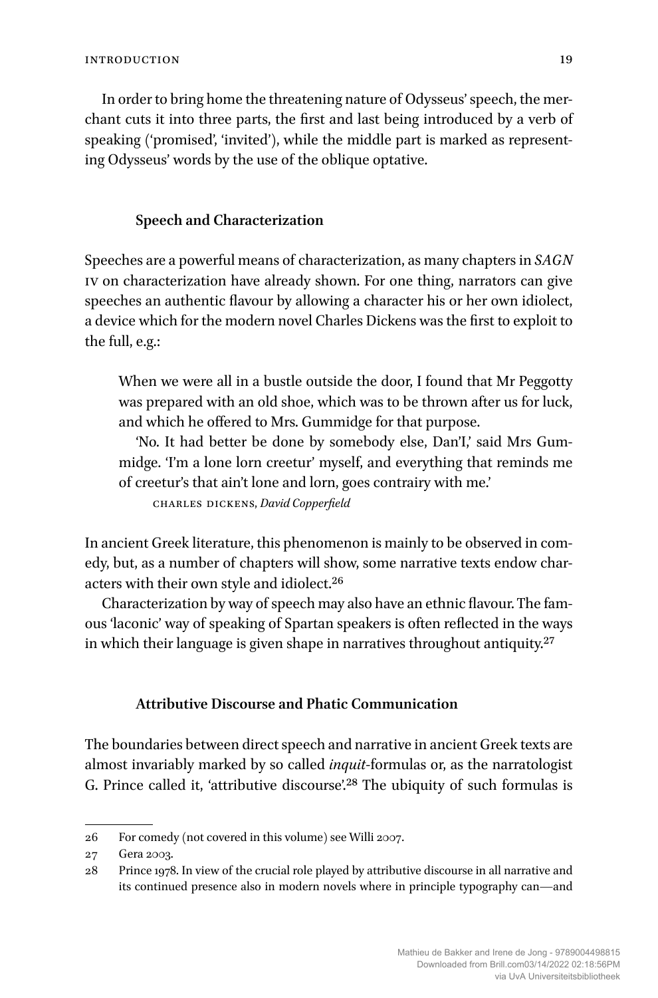In order to bring home the threatening nature of Odysseus' speech, the merchant cuts it into three parts, the first and last being introduced by a verb of speaking ('promised', 'invited'), while the middle part is marked as representing Odysseus' words by the use of the oblique optative.

#### **Speech and Characterization**

Speeches are a powerful means of characterization, as many chapters in *SAGN* iv on characterization have already shown. For one thing, narrators can give speeches an authentic flavour by allowing a character his or her own idiolect, a device which for the modern novel Charles Dickens was the first to exploit to the full, e.g.:

When we were all in a bustle outside the door, I found that Mr Peggotty was prepared with an old shoe, which was to be thrown after us for luck, and which he offered to Mrs. Gummidge for that purpose.

'No. It had better be done by somebody else, Dan'I,' said Mrs Gummidge. 'I'm a lone lorn creetur' myself, and everything that reminds me of creetur's that ain't lone and lorn, goes contrairy with me.'

charles dickens, *David Copperfield*

In ancient Greek literature, this phenomenon is mainly to be observed in comedy, but, as a number of chapters will show, some narrative texts endow characters with their own style and idiolect.26

Characterization by way of speech may also have an ethnic flavour. The famous 'laconic' way of speaking of Spartan speakers is often reflected in the ways in which their language is given shape in narratives throughout antiquity.<sup>27</sup>

#### **Attributive Discourse and Phatic Communication**

The boundaries between direct speech and narrative in ancient Greek texts are almost invariably marked by so called *inquit*-formulas or, as the narratologist G. Prince called it, 'attributive discourse'.<sup>28</sup> The ubiquity of such formulas is

<sup>26</sup> For comedy (not covered in this volume) see Willi 2007.

<sup>27</sup> Gera 2003.

<sup>28</sup> Prince 1978. In view of the crucial role played by attributive discourse in all narrative and its continued presence also in modern novels where in principle typography can—and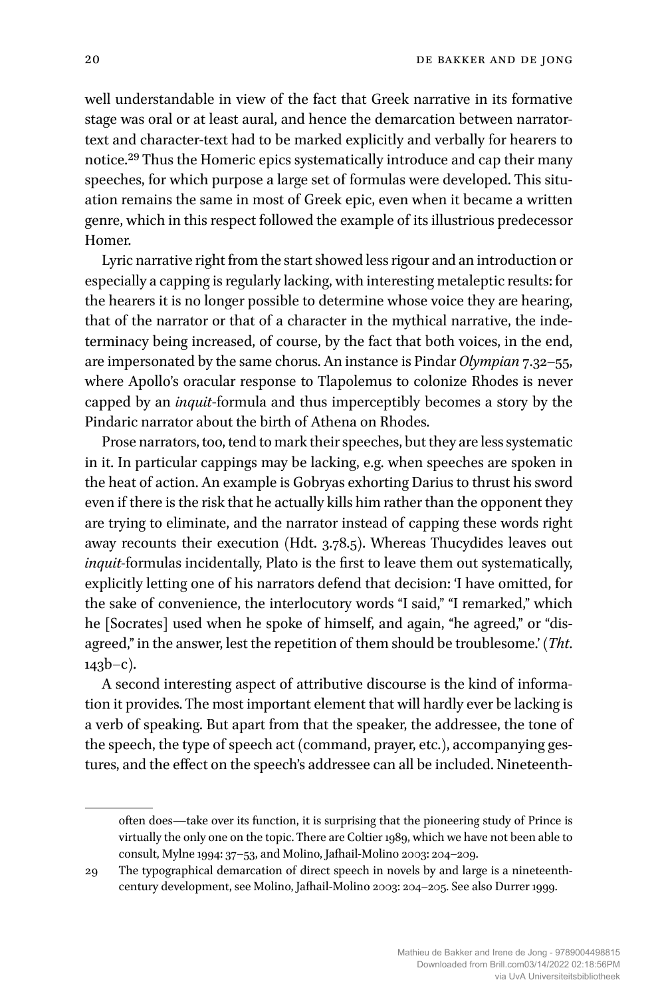well understandable in view of the fact that Greek narrative in its formative stage was oral or at least aural, and hence the demarcation between narratortext and character-text had to be marked explicitly and verbally for hearers to notice.29 Thus the Homeric epics systematically introduce and cap their many speeches, for which purpose a large set of formulas were developed. This situation remains the same in most of Greek epic, even when it became a written genre, which in this respect followed the example of its illustrious predecessor Homer.

Lyric narrative right from the start showed less rigour and an introduction or especially a capping is regularly lacking, with interesting metaleptic results: for the hearers it is no longer possible to determine whose voice they are hearing, that of the narrator or that of a character in the mythical narrative, the indeterminacy being increased, of course, by the fact that both voices, in the end, are impersonated by the same chorus. An instance is Pindar *Olympian* 7.32–55, where Apollo's oracular response to Tlapolemus to colonize Rhodes is never capped by an *inquit*-formula and thus imperceptibly becomes a story by the Pindaric narrator about the birth of Athena on Rhodes.

Prose narrators, too, tend to mark their speeches, but they are less systematic in it. In particular cappings may be lacking, e.g. when speeches are spoken in the heat of action. An example is Gobryas exhorting Darius to thrust his sword even if there is the risk that he actually kills him rather than the opponent they are trying to eliminate, and the narrator instead of capping these words right away recounts their execution (Hdt. 3.78.5). Whereas Thucydides leaves out *inquit-*formulas incidentally, Plato is the first to leave them out systematically, explicitly letting one of his narrators defend that decision: 'I have omitted, for the sake of convenience, the interlocutory words "I said," "I remarked," which he [Socrates] used when he spoke of himself, and again, "he agreed," or "disagreed," in the answer, lest the repetition of them should be troublesome.' (*Tht*.  $143b-c$ ).

A second interesting aspect of attributive discourse is the kind of information it provides. The most important element that will hardly ever be lacking is a verb of speaking. But apart from that the speaker, the addressee, the tone of the speech, the type of speech act (command, prayer, etc.), accompanying gestures, and the effect on the speech's addressee can all be included. Nineteenth-

often does—take over its function, it is surprising that the pioneering study of Prince is virtually the only one on the topic. There are Coltier 1989, which we have not been able to consult, Mylne 1994: 37–53, and Molino, Jafhail-Molino 2003: 204–209.

<sup>29</sup> The typographical demarcation of direct speech in novels by and large is a nineteenthcentury development, see Molino, Jafhail-Molino 2003: 204–205. See also Durrer 1999.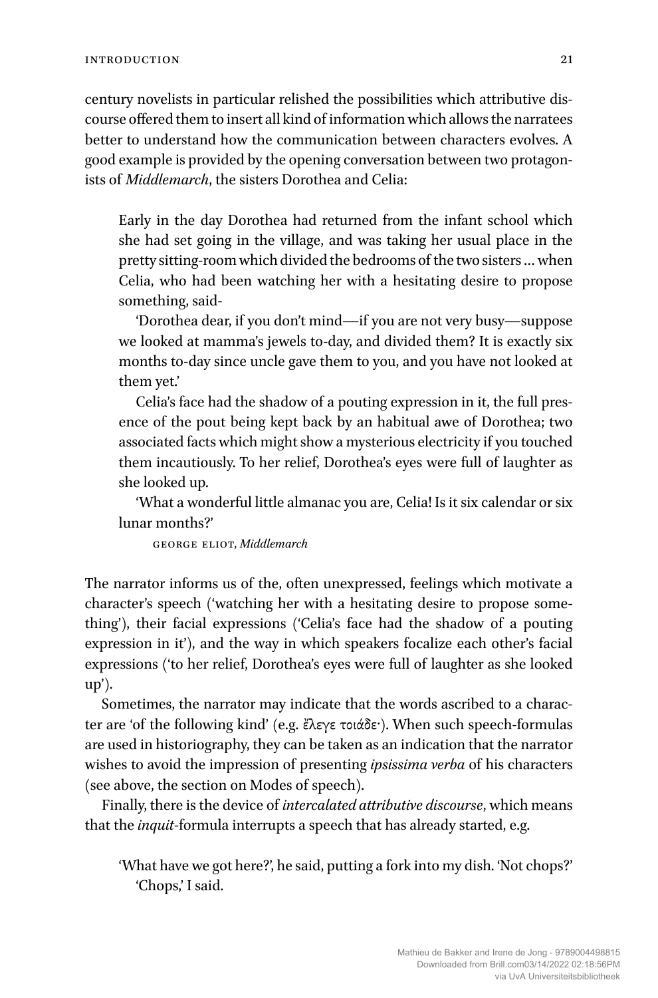century novelists in particular relished the possibilities which attributive discourse offered them to insert all kind of information which allows the narratees better to understand how the communication between characters evolves. A good example is provided by the opening conversation between two protagonists of *Middlemarch*, the sisters Dorothea and Celia:

Early in the day Dorothea had returned from the infant school which she had set going in the village, and was taking her usual place in the pretty sitting-room which divided the bedrooms of the two sisters … when Celia, who had been watching her with a hesitating desire to propose something, said-

'Dorothea dear, if you don't mind—if you are not very busy—suppose we looked at mamma's jewels to-day, and divided them? It is exactly six months to-day since uncle gave them to you, and you have not looked at them yet.'

Celia's face had the shadow of a pouting expression in it, the full presence of the pout being kept back by an habitual awe of Dorothea; two associated facts which might show a mysterious electricity if you touched them incautiously. To her relief, Dorothea's eyes were full of laughter as she looked up.

'What a wonderful little almanac you are, Celia! Is it six calendar or six lunar months?'

george eliot, *Middlemarch*

The narrator informs us of the, often unexpressed, feelings which motivate a character's speech ('watching her with a hesitating desire to propose something'), their facial expressions ('Celia's face had the shadow of a pouting expression in it'), and the way in which speakers focalize each other's facial expressions ('to her relief, Dorothea's eyes were full of laughter as she looked  $up$ ).

Sometimes, the narrator may indicate that the words ascribed to a character are 'of the following kind' (e.g. ἔλεγε τοιάδε·). When such speech-formulas are used in historiography, they can be taken as an indication that the narrator wishes to avoid the impression of presenting *ipsissima verba* of his characters (see above, the section on Modes of speech).

Finally, there is the device of *intercalated attributive discourse*, which means that the *inquit*-formula interrupts a speech that has already started, e.g.

'What have we got here?', he said, putting a fork into my dish. 'Not chops?' 'Chops,' I said.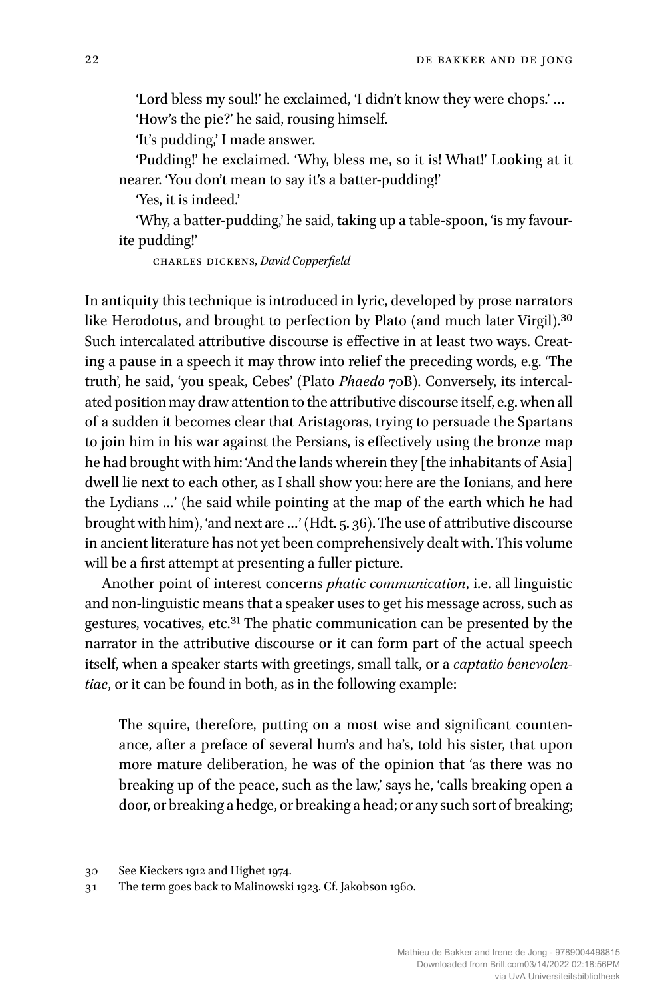'Lord bless my soul!' he exclaimed, 'I didn't know they were chops.' … 'How's the pie?' he said, rousing himself.

'It's pudding,' I made answer.

'Pudding!' he exclaimed. 'Why, bless me, so it is! What!' Looking at it nearer. 'You don't mean to say it's a batter-pudding!'

'Yes, it is indeed.'

'Why, a batter-pudding,' he said, taking up a table-spoon, 'is my favourite pudding!'

charles dickens, *David Copperfield*

In antiquity this technique is introduced in lyric, developed by prose narrators like Herodotus, and brought to perfection by Plato (and much later Virgil).<sup>30</sup> Such intercalated attributive discourse is effective in at least two ways. Creating a pause in a speech it may throw into relief the preceding words, e.g. 'The truth', he said, 'you speak, Cebes' (Plato *Phaedo* 70B). Conversely, its intercalated position may draw attention to the attributive discourse itself, e.g. when all of a sudden it becomes clear that Aristagoras, trying to persuade the Spartans to join him in his war against the Persians, is effectively using the bronze map he had brought with him: 'And the lands wherein they [the inhabitants of Asia] dwell lie next to each other, as I shall show you: here are the Ionians, and here the Lydians …' (he said while pointing at the map of the earth which he had brought with him), 'and next are …' (Hdt. 5. 36). The use of attributive discourse in ancient literature has not yet been comprehensively dealt with. This volume will be a first attempt at presenting a fuller picture.

Another point of interest concerns *phatic communication*, i.e. all linguistic and non-linguistic means that a speaker uses to get his message across, such as gestures, vocatives, etc.31 The phatic communication can be presented by the narrator in the attributive discourse or it can form part of the actual speech itself, when a speaker starts with greetings, small talk, or a *captatio benevolentiae*, or it can be found in both, as in the following example:

The squire, therefore, putting on a most wise and significant countenance, after a preface of several hum's and ha's, told his sister, that upon more mature deliberation, he was of the opinion that 'as there was no breaking up of the peace, such as the law,' says he, 'calls breaking open a door, or breaking a hedge, or breaking a head; or any such sort of breaking;

<sup>30</sup> See Kieckers 1912 and Highet 1974.

<sup>31</sup> The term goes back to Malinowski 1923. Cf. Jakobson 1960.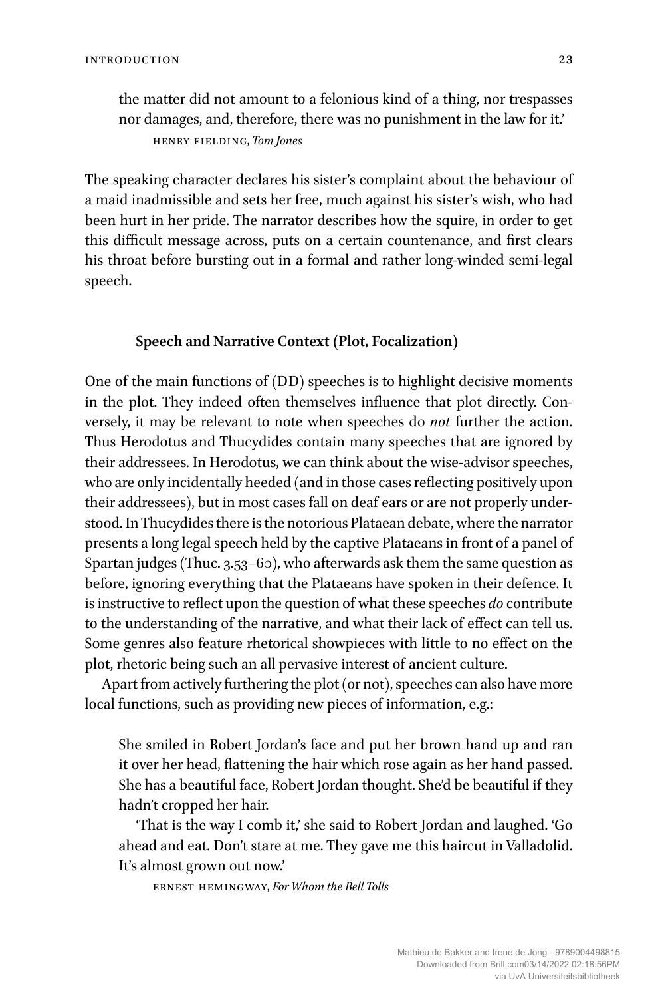the matter did not amount to a felonious kind of a thing, nor trespasses nor damages, and, therefore, there was no punishment in the law for it.' henry fielding, *Tom Jones*

The speaking character declares his sister's complaint about the behaviour of a maid inadmissible and sets her free, much against his sister's wish, who had been hurt in her pride. The narrator describes how the squire, in order to get this difficult message across, puts on a certain countenance, and first clears his throat before bursting out in a formal and rather long-winded semi-legal speech.

#### **Speech and Narrative Context (Plot, Focalization)**

One of the main functions of (DD) speeches is to highlight decisive moments in the plot. They indeed often themselves influence that plot directly. Conversely, it may be relevant to note when speeches do *not* further the action. Thus Herodotus and Thucydides contain many speeches that are ignored by their addressees. In Herodotus, we can think about the wise-advisor speeches, who are only incidentally heeded (and in those cases reflecting positively upon their addressees), but in most cases fall on deaf ears or are not properly understood. In Thucydides there is the notorious Plataean debate, where the narrator presents a long legal speech held by the captive Plataeans in front of a panel of Spartan judges (Thuc. 3.53–60), who afterwards ask them the same question as before, ignoring everything that the Plataeans have spoken in their defence. It is instructive to reflect upon the question of what these speeches *do* contribute to the understanding of the narrative, and what their lack of effect can tell us. Some genres also feature rhetorical showpieces with little to no effect on the plot, rhetoric being such an all pervasive interest of ancient culture.

Apart from actively furthering the plot (or not), speeches can also have more local functions, such as providing new pieces of information, e.g.:

She smiled in Robert Jordan's face and put her brown hand up and ran it over her head, flattening the hair which rose again as her hand passed. She has a beautiful face, Robert Jordan thought. She'd be beautiful if they hadn't cropped her hair.

'That is the way I comb it,' she said to Robert Jordan and laughed. 'Go ahead and eat. Don't stare at me. They gave me this haircut in Valladolid. It's almost grown out now.'

ernest hemingway, *For Whom the Bell Tolls*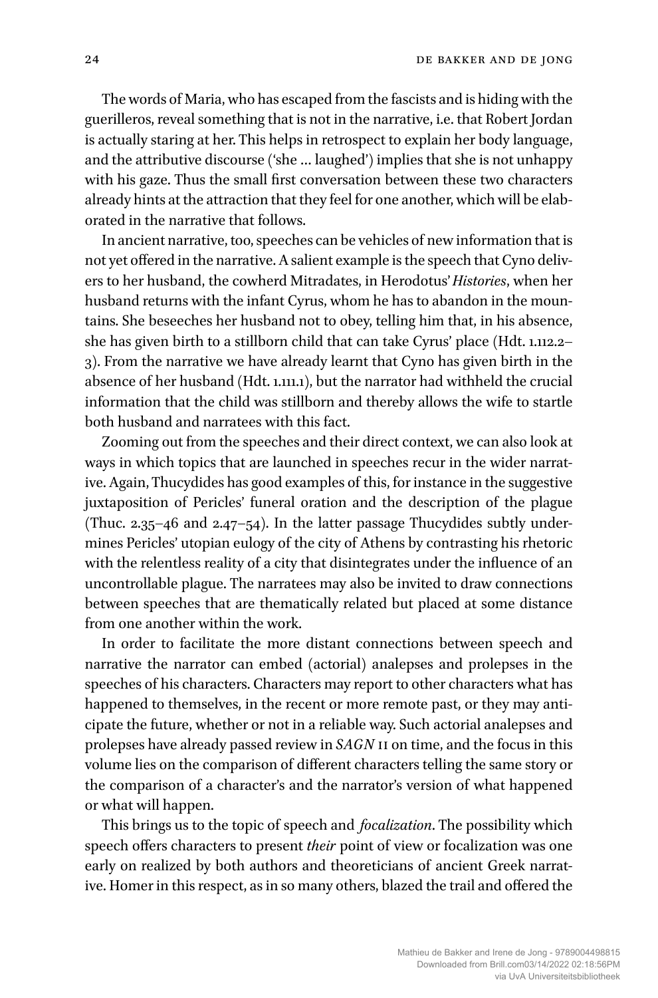The words of Maria, who has escaped from the fascists and is hiding with the guerilleros, reveal something that is not in the narrative, i.e. that Robert Jordan is actually staring at her. This helps in retrospect to explain her body language, and the attributive discourse ('she … laughed') implies that she is not unhappy with his gaze. Thus the small first conversation between these two characters already hints at the attraction that they feel for one another, which will be elaborated in the narrative that follows.

In ancient narrative, too, speeches can be vehicles of new information that is not yet offered in the narrative. A salient example is the speech that Cyno delivers to her husband, the cowherd Mitradates, in Herodotus'*Histories*, when her husband returns with the infant Cyrus, whom he has to abandon in the mountains. She beseeches her husband not to obey, telling him that, in his absence, she has given birth to a stillborn child that can take Cyrus' place (Hdt. 1.112.2– 3). From the narrative we have already learnt that Cyno has given birth in the absence of her husband (Hdt. 1.111.1), but the narrator had withheld the crucial information that the child was stillborn and thereby allows the wife to startle both husband and narratees with this fact.

Zooming out from the speeches and their direct context, we can also look at ways in which topics that are launched in speeches recur in the wider narrative. Again, Thucydides has good examples of this, for instance in the suggestive juxtaposition of Pericles' funeral oration and the description of the plague (Thuc. 2.35–46 and 2.47–54). In the latter passage Thucydides subtly undermines Pericles' utopian eulogy of the city of Athens by contrasting his rhetoric with the relentless reality of a city that disintegrates under the influence of an uncontrollable plague. The narratees may also be invited to draw connections between speeches that are thematically related but placed at some distance from one another within the work.

In order to facilitate the more distant connections between speech and narrative the narrator can embed (actorial) analepses and prolepses in the speeches of his characters. Characters may report to other characters what has happened to themselves, in the recent or more remote past, or they may anticipate the future, whether or not in a reliable way. Such actorial analepses and prolepses have already passed review in *SAGN* ii on time, and the focus in this volume lies on the comparison of different characters telling the same story or the comparison of a character's and the narrator's version of what happened or what will happen.

This brings us to the topic of speech and *focalization*. The possibility which speech offers characters to present *their* point of view or focalization was one early on realized by both authors and theoreticians of ancient Greek narrative. Homer in this respect, as in so many others, blazed the trail and offered the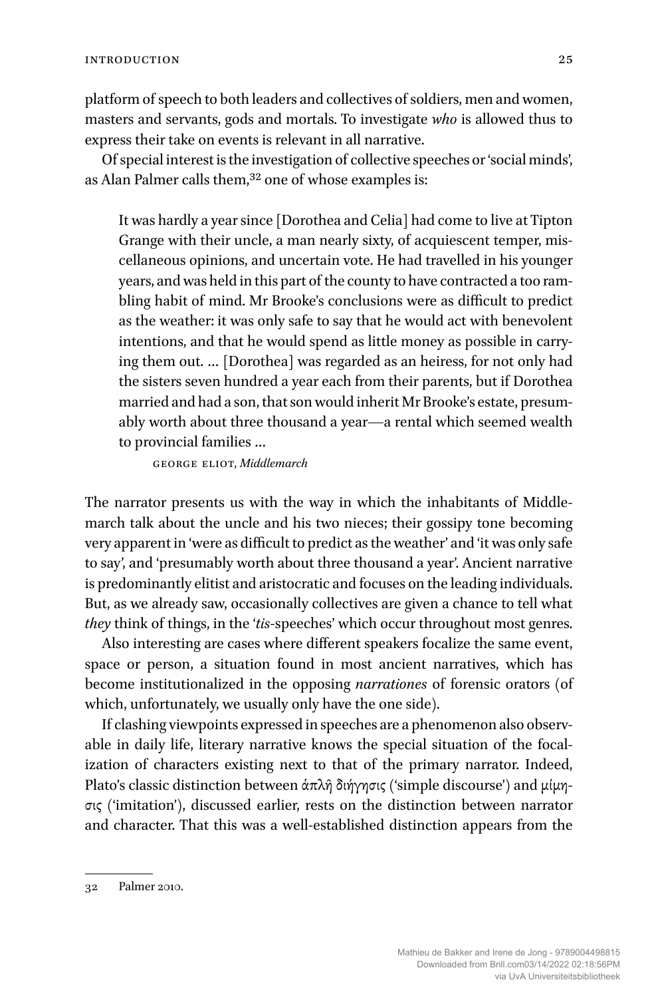platform of speech to both leaders and collectives of soldiers, men and women, masters and servants, gods and mortals. To investigate *who* is allowed thus to express their take on events is relevant in all narrative.

Of special interest is the investigation of collective speeches or 'social minds', as Alan Palmer calls them,<sup>32</sup> one of whose examples is:

It was hardly a year since [Dorothea and Celia] had come to live at Tipton Grange with their uncle, a man nearly sixty, of acquiescent temper, miscellaneous opinions, and uncertain vote. He had travelled in his younger years, and was held in this part of the county to have contracted a too rambling habit of mind. Mr Brooke's conclusions were as difficult to predict as the weather: it was only safe to say that he would act with benevolent intentions, and that he would spend as little money as possible in carrying them out. … [Dorothea] was regarded as an heiress, for not only had the sisters seven hundred a year each from their parents, but if Dorothea married and had a son, that son would inherit Mr Brooke's estate, presumably worth about three thousand a year—a rental which seemed wealth to provincial families …

george eliot, *Middlemarch*

The narrator presents us with the way in which the inhabitants of Middlemarch talk about the uncle and his two nieces; their gossipy tone becoming very apparent in 'were as difficult to predict as the weather' and 'it was only safe to say', and 'presumably worth about three thousand a year'. Ancient narrative is predominantly elitist and aristocratic and focuses on the leading individuals. But, as we already saw, occasionally collectives are given a chance to tell what *they* think of things, in the '*tis*-speeches' which occur throughout most genres.

Also interesting are cases where different speakers focalize the same event, space or person, a situation found in most ancient narratives, which has become institutionalized in the opposing *narrationes* of forensic orators (of which, unfortunately, we usually only have the one side).

If clashing viewpoints expressed in speeches are a phenomenon also observable in daily life, literary narrative knows the special situation of the focalization of characters existing next to that of the primary narrator. Indeed, Plato's classic distinction between άπλῆ διήγησις ('simple discourse') and μίμησις ('imitation'), discussed earlier, rests on the distinction between narrator and character. That this was a well-established distinction appears from the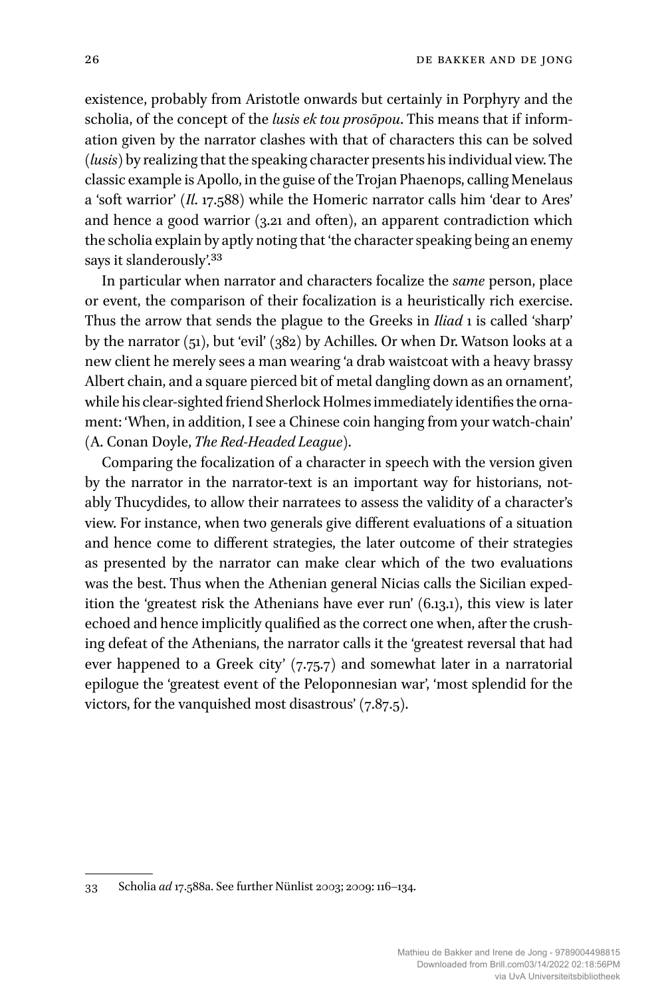existence, probably from Aristotle onwards but certainly in Porphyry and the scholia, of the concept of the *lusis ek tou prosōpou*. This means that if information given by the narrator clashes with that of characters this can be solved (*lusis*) by realizing that the speaking character presents his individual view. The classic example is Apollo, in the guise of the Trojan Phaenops, calling Menelaus a 'soft warrior' (*Il*. 17.588) while the Homeric narrator calls him 'dear to Ares' and hence a good warrior (3.21 and often), an apparent contradiction which the scholia explain by aptly noting that 'the character speaking being an enemy says it slanderously'.<sup>33</sup>

In particular when narrator and characters focalize the *same* person, place or event, the comparison of their focalization is a heuristically rich exercise. Thus the arrow that sends the plague to the Greeks in *Iliad* 1 is called 'sharp' by the narrator (51), but 'evil' (382) by Achilles. Or when Dr. Watson looks at a new client he merely sees a man wearing 'a drab waistcoat with a heavy brassy Albert chain, and a square pierced bit of metal dangling down as an ornament', while his clear-sighted friend Sherlock Holmes immediately identifies the ornament: 'When, in addition, I see a Chinese coin hanging from your watch-chain' (A. Conan Doyle, *The Red-Headed League*).

Comparing the focalization of a character in speech with the version given by the narrator in the narrator-text is an important way for historians, notably Thucydides, to allow their narratees to assess the validity of a character's view. For instance, when two generals give different evaluations of a situation and hence come to different strategies, the later outcome of their strategies as presented by the narrator can make clear which of the two evaluations was the best. Thus when the Athenian general Nicias calls the Sicilian expedition the 'greatest risk the Athenians have ever run' (6.13.1), this view is later echoed and hence implicitly qualified as the correct one when, after the crushing defeat of the Athenians, the narrator calls it the 'greatest reversal that had ever happened to a Greek city' (7.75.7) and somewhat later in a narratorial epilogue the 'greatest event of the Peloponnesian war', 'most splendid for the victors, for the vanquished most disastrous' (7.87.5).

<sup>33</sup> Scholia *ad* 17.588a. See further Nünlist 2003; 2009: 116–134.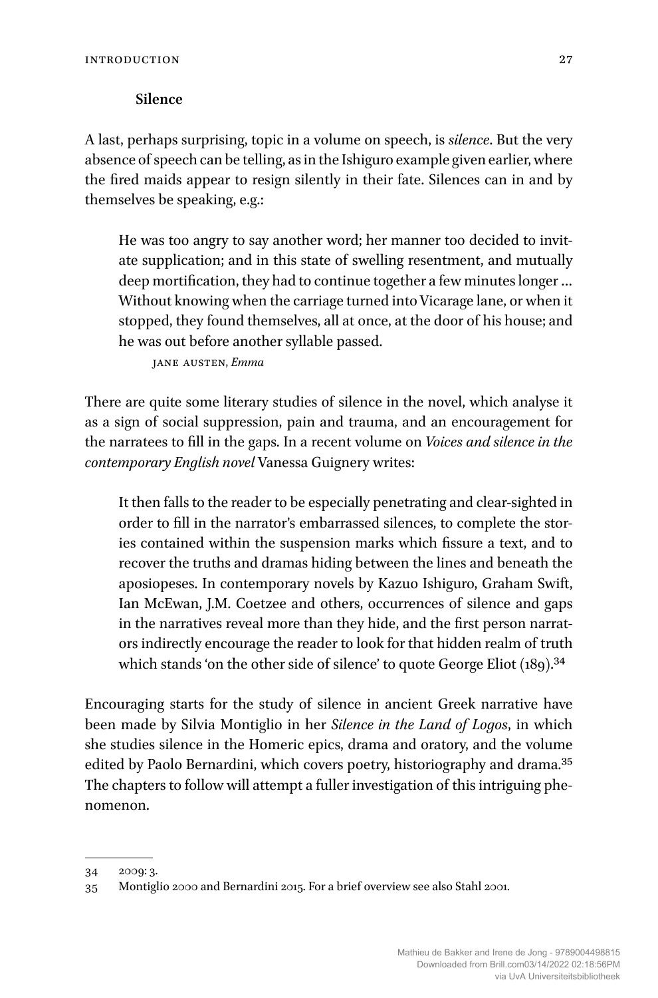#### **Silence**

A last, perhaps surprising, topic in a volume on speech, is *silence*. But the very absence of speech can be telling, as in the Ishiguro example given earlier, where the fired maids appear to resign silently in their fate. Silences can in and by themselves be speaking, e.g.:

He was too angry to say another word; her manner too decided to invitate supplication; and in this state of swelling resentment, and mutually deep mortification, they had to continue together a few minutes longer … Without knowing when the carriage turned into Vicarage lane, or when it stopped, they found themselves, all at once, at the door of his house; and he was out before another syllable passed.

jane austen, *Emma*

There are quite some literary studies of silence in the novel, which analyse it as a sign of social suppression, pain and trauma, and an encouragement for the narratees to fill in the gaps. In a recent volume on *Voices and silence in the contemporary English novel* Vanessa Guignery writes:

It then falls to the reader to be especially penetrating and clear-sighted in order to fill in the narrator's embarrassed silences, to complete the stories contained within the suspension marks which fissure a text, and to recover the truths and dramas hiding between the lines and beneath the aposiopeses. In contemporary novels by Kazuo Ishiguro, Graham Swift, Ian McEwan, J.M. Coetzee and others, occurrences of silence and gaps in the narratives reveal more than they hide, and the first person narrators indirectly encourage the reader to look for that hidden realm of truth which stands 'on the other side of silence' to quote George Eliot (189).<sup>34</sup>

Encouraging starts for the study of silence in ancient Greek narrative have been made by Silvia Montiglio in her *Silence in the Land of Logos*, in which she studies silence in the Homeric epics, drama and oratory, and the volume edited by Paolo Bernardini, which covers poetry, historiography and drama.<sup>35</sup> The chapters to follow will attempt a fuller investigation of this intriguing phenomenon.

<sup>34 2009: 3.</sup>

<sup>35</sup> Montiglio 2000 and Bernardini 2015. For a brief overview see also Stahl 2001.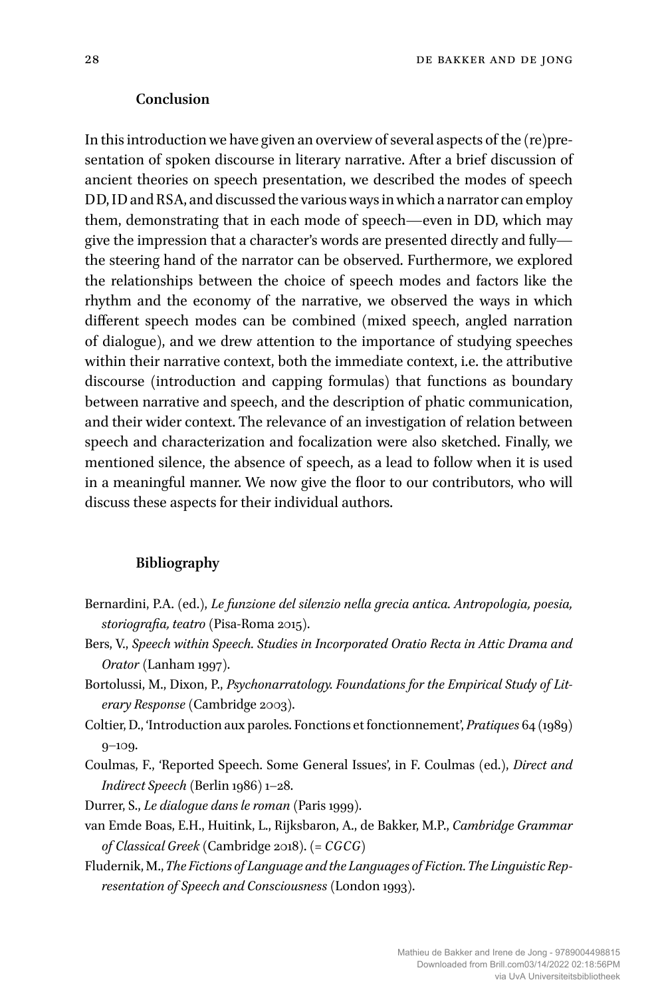#### **Conclusion**

In this introduction we have given an overview of several aspects of the (re)presentation of spoken discourse in literary narrative. After a brief discussion of ancient theories on speech presentation, we described the modes of speech DD,ID and RSA, and discussed the variousways inwhich a narrator can employ them, demonstrating that in each mode of speech—even in DD, which may give the impression that a character's words are presented directly and fully the steering hand of the narrator can be observed. Furthermore, we explored the relationships between the choice of speech modes and factors like the rhythm and the economy of the narrative, we observed the ways in which different speech modes can be combined (mixed speech, angled narration of dialogue), and we drew attention to the importance of studying speeches within their narrative context, both the immediate context, i.e. the attributive discourse (introduction and capping formulas) that functions as boundary between narrative and speech, and the description of phatic communication, and their wider context. The relevance of an investigation of relation between speech and characterization and focalization were also sketched. Finally, we mentioned silence, the absence of speech, as a lead to follow when it is used in a meaningful manner. We now give the floor to our contributors, who will discuss these aspects for their individual authors.

#### **Bibliography**

- Bernardini, P.A. (ed.), *Le funzione del silenzio nella grecia antica. Antropologia, poesia, storiografia, teatro* (Pisa-Roma 2015).
- Bers, V., *Speech within Speech. Studies in Incorporated Oratio Recta in Attic Drama and Orator* (Lanham 1997).
- Bortolussi, M., Dixon, P., *Psychonarratology. Foundations for the Empirical Study of Literary Response*(Cambridge 2003).
- Coltier, D., 'Introduction aux paroles. Fonctions et fonctionnement', *Pratiques* 64 (1989) 9–109.
- Coulmas, F., 'Reported Speech. Some General Issues', in F. Coulmas (ed.), *Direct and Indirect Speech* (Berlin 1986) 1–28.
- Durrer, S., *Le dialogue dans le roman* (Paris 1999).
- van Emde Boas, E.H., Huitink, L., Rijksbaron, A., de Bakker, M.P., *Cambridge Grammar of Classical Greek* (Cambridge 2018). (= *CGCG*)
- Fludernik, M.,*The Fictions of Language andthe Languages of Fiction. The Linguistic Representation of Speech and Consciousness* (London 1993).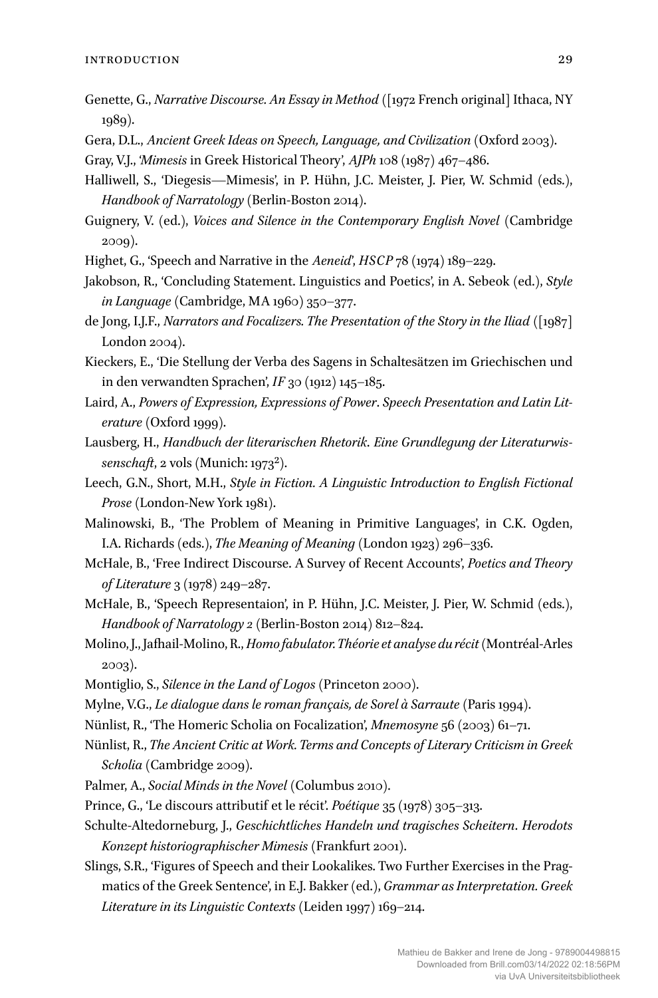- Genette, G., *Narrative Discourse. An Essay in Method* ([1972 French original] Ithaca, NY 1989).
- Gera, D.L., *Ancient Greek Ideas on Speech, Language, and Civilization* (Oxford 2003).
- Gray, V.J., '*Mimesis* in Greek Historical Theory', *AJPh* 108 (1987) 467–486.
- Halliwell, S., 'Diegesis—Mimesis', in P. Hühn, J.C. Meister, J. Pier, W. Schmid (eds.), *Handbook of Narratology* (Berlin-Boston 2014).
- Guignery, V. (ed.), *Voices and Silence in the Contemporary English Novel* (Cambridge 2009).
- Highet, G., 'Speech and Narrative in the *Aeneid*', *HSCP* 78 (1974) 189–229.
- Jakobson, R., 'Concluding Statement. Linguistics and Poetics', in A. Sebeok (ed.), *Style in Language*(Cambridge, MA 1960) 350–377.
- de Jong, I.J.F., *Narrators and Focalizers. The Presentation of the Story in the Iliad* ([1987] London 2004).
- Kieckers, E., 'Die Stellung der Verba des Sagens in Schaltesätzen im Griechischen und in den verwandten Sprachen', *IF* 30 (1912) 145–185.
- Laird, A., *Powers of Expression, Expressions of Power*. *Speech Presentation and Latin Literature* (Oxford 1999).
- Lausberg, H., *Handbuch der literarischen Rhetorik*. *Eine Grundlegung der Literaturwissenschaft*, 2 vols (Munich: 19732).
- Leech, G.N., Short, M.H., *Style in Fiction. A Linguistic Introduction to English Fictional Prose*(London-New York 1981).
- Malinowski, B., 'The Problem of Meaning in Primitive Languages', in C.K. Ogden, I.A. Richards (eds.), *The Meaning of Meaning* (London 1923) 296–336.
- McHale, B., 'Free Indirect Discourse. A Survey of Recent Accounts', *Poetics and Theory of Literature* 3 (1978) 249–287.
- McHale, B., 'Speech Representaion', in P. Hühn, J.C. Meister, J. Pier, W. Schmid (eds.), *Handbook of Narratology 2* (Berlin-Boston 2014) 812–824.
- Molino,J.,Jafhail-Molino, R.,*Homofabulator. Théorie et analyse du récit*(Montréal-Arles 2003).
- Montiglio, S., *Silence in the Land of Logos* (Princeton 2000).
- Mylne, V.G., *Le dialogue dans le roman français, de Sorel à Sarraute*(Paris 1994).
- Nünlist, R., 'The Homeric Scholia on Focalization', *Mnemosyne* 56 (2003) 61–71.
- Nünlist, R., *The Ancient Critic at Work. Terms and Concepts of Literary Criticism in Greek Scholia* (Cambridge 2009).
- Palmer, A., *Social Minds in the Novel* (Columbus 2010).
- Prince, G., 'Le discours attributif et le récit'. *Poétique* 35 (1978) 305–313.
- Schulte-Altedorneburg, J., *Geschichtliches Handeln und tragisches Scheitern*. *Herodots Konzept historiographischer Mimesis* (Frankfurt 2001).
- Slings, S.R., 'Figures of Speech and their Lookalikes. Two Further Exercises in the Pragmatics of the Greek Sentence', in E.J. Bakker (ed.), *Grammar as Interpretation. Greek Literature in its Linguistic Contexts* (Leiden 1997) 169–214.